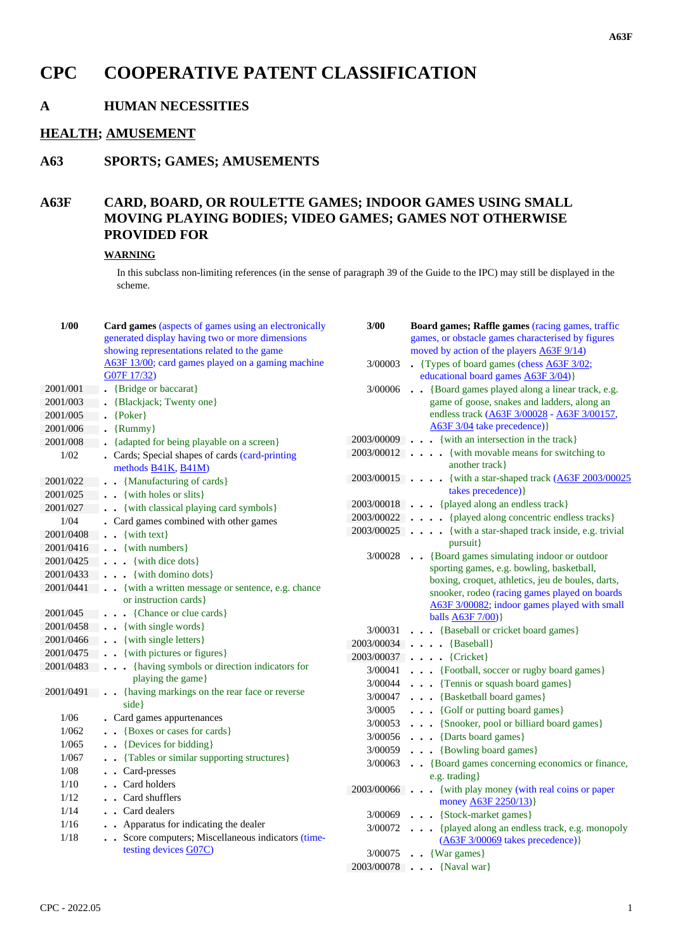# **CPC COOPERATIVE PATENT CLASSIFICATION**

# **A HUMAN NECESSITIES**

#### **HEALTH; AMUSEMENT**

## **A63 SPORTS; GAMES; AMUSEMENTS**

# **A63F CARD, BOARD, OR ROULETTE GAMES; INDOOR GAMES USING SMALL MOVING PLAYING BODIES; VIDEO GAMES; GAMES NOT OTHERWISE PROVIDED FOR**

#### **WARNING**

In this subclass non-limiting references (in the sense of paragraph 39 of the Guide to the IPC) may still be displayed in the scheme.

| 1/00      | Card games (aspects of games using an electronically<br>generated display having two or more dimensions<br>showing representations related to the game | 3/00    | Board games; Raffle games (racing games, traffic<br>games, or obstacle games characterised by figures<br>moved by action of the players A63F 9/14) |
|-----------|--------------------------------------------------------------------------------------------------------------------------------------------------------|---------|----------------------------------------------------------------------------------------------------------------------------------------------------|
|           | A63F 13/00; card games played on a gaming machine<br>G07F 17/32)                                                                                       | 3/00003 | • {Types of board games (chess $\angle$ A63F 3/02;<br>educational board games A63F 3/04)}                                                          |
| 2001/001  | • {Bridge or baccarat}                                                                                                                                 | 3/00006 | · · {Board games played along a linear track, e.g.                                                                                                 |
| 2001/003  | • {Blackjack; Twenty one}                                                                                                                              |         | game of goose, snakes and ladders, along an                                                                                                        |
| 2001/005  | $\bullet$ {Poker}                                                                                                                                      |         | endless track (A63F 3/00028 - A63F 3/00157,                                                                                                        |
| 2001/006  | $\cdot$ {Rummy}                                                                                                                                        |         | A63F 3/04 take precedence) }                                                                                                                       |
| 2001/008  | • {adapted for being playable on a screen}                                                                                                             |         | 2003/00009 {with an intersection in the track}                                                                                                     |
| 1/02      | . Cards; Special shapes of cards (card-printing<br>methods B41K, B41M)                                                                                 |         | 2003/00012 {with movable means for switching to<br>another track }                                                                                 |
| 2001/022  | . . {Manufacturing of cards}                                                                                                                           |         | 2003/00015 {with a star-shaped track (A63F 2003/00025                                                                                              |
| 2001/025  | $\blacksquare$ . {with holes or slits}                                                                                                                 |         | takes precedence) }                                                                                                                                |
| 2001/027  | . { with classical playing card symbols }                                                                                                              |         | 2003/00018 {played along an endless track}                                                                                                         |
| 1/04      | . Card games combined with other games                                                                                                                 |         | 2003/00022 [played along concentric endless tracks]                                                                                                |
| 2001/0408 | $\cdot \cdot \cdot$ {with text}                                                                                                                        |         | 2003/00025 {with a star-shaped track inside, e.g. trivial                                                                                          |
|           | 2001/0416 {with numbers}                                                                                                                               |         | pursuit}                                                                                                                                           |
|           | $2001/0425$ {with dice dots}                                                                                                                           |         | 3/00028 {Board games simulating indoor or outdoor                                                                                                  |
|           | $2001/0433$ {with domino dots}                                                                                                                         |         | sporting games, e.g. bowling, basketball,<br>boxing, croquet, athletics, jeu de boules, darts,                                                     |
|           | 2001/0441 . {with a written message or sentence, e.g. chance                                                                                           |         | snooker, rodeo (racing games played on boards                                                                                                      |
|           | or instruction cards }                                                                                                                                 |         | A63F 3/00082; indoor games played with small                                                                                                       |
|           | 2001/045 {Chance or clue cards}                                                                                                                        |         | balls $A63F 7/00$ }                                                                                                                                |
|           | 2001/0458 {with single words}                                                                                                                          |         | 3/00031 {Baseball or cricket board games}                                                                                                          |
|           | 2001/0466 {with single letters}                                                                                                                        |         | $2003/00034$ {Baseball}                                                                                                                            |
|           | 2001/0475 . {with pictures or figures}                                                                                                                 |         | 2003/00037 {Cricket}                                                                                                                               |
|           | 2001/0483 {having symbols or direction indicators for                                                                                                  |         | 3/00041 {Football, soccer or rugby board games}                                                                                                    |
|           | playing the game}                                                                                                                                      |         | $3/00044$ {Tennis or squash board games}                                                                                                           |
|           | 2001/0491 . {having markings on the rear face or reverse                                                                                               |         | 3/00047 {Basketball board games}                                                                                                                   |
|           | side }                                                                                                                                                 | 3/0005  | {Golf or putting board games}                                                                                                                      |
| 1/06      | • Card games appurtenances                                                                                                                             |         | 3/00053 {Snooker, pool or billiard board games}                                                                                                    |
| 1/062     | • {Boxes or cases for cards}                                                                                                                           |         | $3/00056$ {Darts board games}                                                                                                                      |
| 1/065     | . . {Devices for bidding}                                                                                                                              |         | $3/00059$ {Bowling board games}                                                                                                                    |
| 1/067     | . Tables or similar supporting structures}                                                                                                             |         | 3/00063 . {Board games concerning economics or finance,                                                                                            |
| 1/08      | Card-presses                                                                                                                                           |         | $e.g.$ trading $\}$                                                                                                                                |
| 1/10      | . Card holders                                                                                                                                         |         | 2003/00066 {with play money (with real coins or paper                                                                                              |
| 1/12      | Card shufflers                                                                                                                                         |         | money <b>A63F 2250/13</b> )}                                                                                                                       |
| 1/14      | Card dealers                                                                                                                                           |         | 3/00069 {Stock-market games}                                                                                                                       |
| 1/16      | . Apparatus for indicating the dealer                                                                                                                  |         | 3/00072 {played along an endless track, e.g. monopoly                                                                                              |
| 1/18      | . Score computers; Miscellaneous indicators (time-                                                                                                     |         | $(A63F 3/00069$ takes precedence)}                                                                                                                 |
|           | testing devices G07C)                                                                                                                                  |         | $3/00075$ . {War games}                                                                                                                            |
|           |                                                                                                                                                        |         | 2003/00078 {Naval war}                                                                                                                             |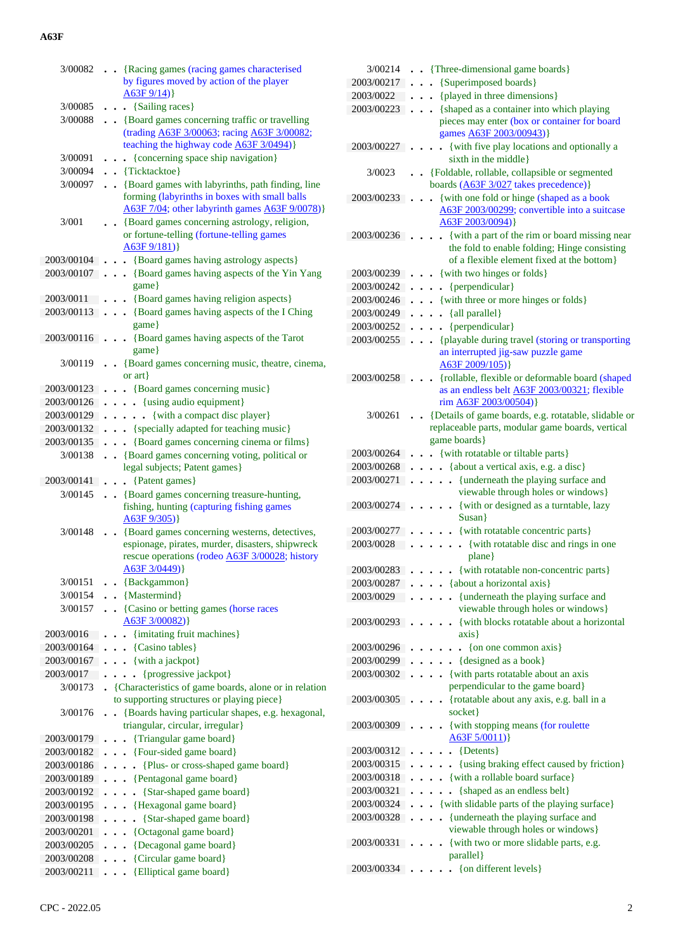| 3/00082                  | • {Racing games (racing games characterised                                                                    |
|--------------------------|----------------------------------------------------------------------------------------------------------------|
|                          | by figures moved by action of the player                                                                       |
|                          | A63F 9/14)                                                                                                     |
| 3/00085                  | {Sailing races}<br>$\ddot{\phantom{0}}$                                                                        |
| 3/00088                  | • {Board games concerning traffic or travelling                                                                |
|                          | (trading A63F 3/00063; racing A63F 3/00082;                                                                    |
|                          | teaching the highway code A63F 3/0494)}                                                                        |
| 3/00091                  | {concerning space ship navigation}<br>$\ddot{\phantom{0}}$                                                     |
| 3/00094                  | . . {Ticktacktoe}                                                                                              |
| 3/00097                  | • {Board games with labyrinths, path finding, line                                                             |
|                          | forming (labyrinths in boxes with small balls                                                                  |
|                          | A63F 7/04; other labyrinth games A63F 9/0078)}                                                                 |
| 3/001                    | {Board games concerning astrology, religion,<br>or fortune-telling (fortune-telling games                      |
|                          | A63F9/181)                                                                                                     |
| 2003/00104.              | • • {Board games having astrology aspects}                                                                     |
| 2003/00107.              | . . {Board games having aspects of the Yin Yang                                                                |
|                          | game}                                                                                                          |
| 2003/0011                | . . {Board games having religion aspects}                                                                      |
| 2003/00113               | . {Board games having aspects of the I Ching                                                                   |
|                          | game}                                                                                                          |
| 2003/00116 .             | {Board games having aspects of the Tarot                                                                       |
|                          | game}                                                                                                          |
| 3/00119                  | • {Board games concerning music, theatre, cinema,                                                              |
|                          | or $art$                                                                                                       |
| 2003/00123               | . . {Board games concerning music}                                                                             |
| 2003/00126               | . {using audio equipment}                                                                                      |
| 2003/00129               | {with a compact disc player}<br>$\ddot{\phantom{0}}$                                                           |
| 2003/00132               | . {specially adapted for teaching music}                                                                       |
| 2003/00135               | . {Board games concerning cinema or films}                                                                     |
| 3/00138                  | • {Board games concerning voting, political or                                                                 |
|                          | legal subjects; Patent games}                                                                                  |
| 2003/00141               | {Patent games}<br>$\ddot{\phantom{0}}$                                                                         |
| 3/00145                  | . . {Board games concerning treasure-hunting,                                                                  |
|                          |                                                                                                                |
|                          | fishing, hunting (capturing fishing games                                                                      |
|                          | $A63F\,9/305)$                                                                                                 |
| 3/00148                  | • {Board games concerning westerns, detectives,                                                                |
|                          | espionage, pirates, murder, disasters, shipwreck<br>rescue operations (rodeo A63F 3/00028; history             |
|                          | A63F 3/0449) }                                                                                                 |
| 3/00151                  | {Backgammon}                                                                                                   |
| 3/00154                  | {Mastermind}                                                                                                   |
| 3/00157                  | . {Casino or betting games (horse races                                                                        |
|                          | A63F 3/00082) }                                                                                                |
| 2003/0016                | {imitating fruit machines}                                                                                     |
| 2003/00164               | {Casino tables}                                                                                                |
| 2003/00167               | {with a jackpot}                                                                                               |
| 2003/0017                | {progressive jackpot}                                                                                          |
| 3/00173                  | • {Characteristics of game boards, alone or in relation                                                        |
|                          | to supporting structures or playing piece}                                                                     |
| 3/00176                  | • {Boards having particular shapes, e.g. hexagonal,                                                            |
|                          | triangular, circular, irregular}                                                                               |
| 2003/00179<br>2003/00182 | {Triangular game board}<br>$\ddot{\phantom{0}}$                                                                |
| 2003/00186               | . Four-sided game board}<br>{Plus- or cross-shaped game board}<br>$\ddot{\phantom{0}}$<br>$\ddot{\phantom{a}}$ |
| 2003/00189               | . . {Pentagonal game board}                                                                                    |
| 2003/00192               | {Star-shaped game board}<br>$\ddot{\phantom{0}}$<br>$\ddot{\phantom{0}}$                                       |
| 2003/00195               | . . {Hexagonal game board}                                                                                     |
| 2003/00198               | {Star-shaped game board}<br>$\ddot{\phantom{0}}$<br>$\ddot{\phantom{0}}$                                       |
| 2003/00201               | • {Octagonal game board}                                                                                       |
| 2003/00205               | • {Decagonal game board}                                                                                       |
| 2003/00208               | {Circular game board}<br>{Elliptical game board}                                                               |

| 3/00214    | {Three-dimensional game boards}                                                                                                              |  |
|------------|----------------------------------------------------------------------------------------------------------------------------------------------|--|
| 2003/00217 | {Superimposed boards}                                                                                                                        |  |
| 2003/0022  | {played in three dimensions}<br>$\ddot{\phantom{0}}$                                                                                         |  |
| 2003/00223 | {shaped as a container into which playing<br>$\ddot{\phantom{0}}$<br>pieces may enter (box or container for board<br>games A63F 2003/00943)} |  |
| 2003/00227 | {with five play locations and optionally a<br>sixth in the middle}                                                                           |  |
| 3/0023     | {Foldable, rollable, collapsible or segmented<br>boards (A63F 3/027 takes precedence)}                                                       |  |
| 2003/00233 | {with one fold or hinge (shaped as a book                                                                                                    |  |
|            | A63F 2003/00299; convertible into a suitcase<br>A63F 2003/0094) }                                                                            |  |
| 2003/00236 | {with a part of the rim or board missing near<br>the fold to enable folding; Hinge consisting<br>of a flexible element fixed at the bottom}  |  |
| 2003/00239 | . { with two hinges or folds }                                                                                                               |  |
| 2003/00242 | • {perpendicular}                                                                                                                            |  |
| 2003/00246 | . {with three or more hinges or folds}                                                                                                       |  |
| 2003/00249 | $\ldots$ {all parallel}                                                                                                                      |  |
| 2003/00252 | . {perpendicular}                                                                                                                            |  |
| 2003/00255 | . {playable during travel (storing or transporting                                                                                           |  |
|            | an interrupted jig-saw puzzle game<br>A63F 2009/105) }                                                                                       |  |
| 2003/00258 | {rollable, flexible or deformable board (shaped<br>as an endless belt <b>A63F 2003/00321</b> ; flexible<br>rim A63F 2003/00504)}             |  |
| 3/00261    | {Details of game boards, e.g. rotatable, slidable or<br>replaceable parts, modular game boards, vertical<br>game boards}                     |  |
| 2003/00264 | {with rotatable or tiltable parts}                                                                                                           |  |
| 2003/00268 | {about a vertical axis, e.g. a disc}<br>$\ddot{\phantom{a}}$                                                                                 |  |
| 2003/00271 | {underneath the playing surface and                                                                                                          |  |
|            | viewable through holes or windows}                                                                                                           |  |
| 2003/00274 | {with or designed as a turntable, lazy<br>Susan}                                                                                             |  |
| 2003/00277 | {with rotatable concentric parts}                                                                                                            |  |
| 2003/0028  | • {with rotatable disc and rings in one<br>plane}                                                                                            |  |
| 2003/00283 | {with rotatable non-concentric parts}                                                                                                        |  |
| 2003/00287 | $\ldots$ {about a horizontal axis}                                                                                                           |  |
| 2003/0029  | {underneath the playing surface and                                                                                                          |  |
|            | viewable through holes or windows}                                                                                                           |  |
| 2003/00293 | {with blocks rotatable about a horizontal<br>axis                                                                                            |  |
| 2003/00296 | {on one common axis}                                                                                                                         |  |
| 2003/00299 | {designed as a book}                                                                                                                         |  |
| 2003/00302 | {with parts rotatable about an axis                                                                                                          |  |
| 2003/00305 | perpendicular to the game board}<br>{rotatable about any axis, e.g. ball in a<br>socket}                                                     |  |
| 2003/00309 | {with stopping means (for roulette<br>A63F 5/0011)                                                                                           |  |
| 2003/00312 | {Detents}                                                                                                                                    |  |
| 2003/00315 | {using braking effect caused by friction}                                                                                                    |  |
| 2003/00318 | {with a rollable board surface}                                                                                                              |  |
| 2003/00321 | {shaped as an endless belt}<br>$\bullet$                                                                                                     |  |
| 2003/00324 | {with slidable parts of the playing surface}                                                                                                 |  |
| 2003/00328 | {underneath the playing surface and<br>$\ddot{\phantom{0}}$                                                                                  |  |
|            | $\ddot{\phantom{0}}$<br>viewable through holes or windows}                                                                                   |  |
| 2003/00331 | {with two or more slidable parts, e.g.<br>parallel}                                                                                          |  |
|            | $2003/00334$ { on different levels }                                                                                                         |  |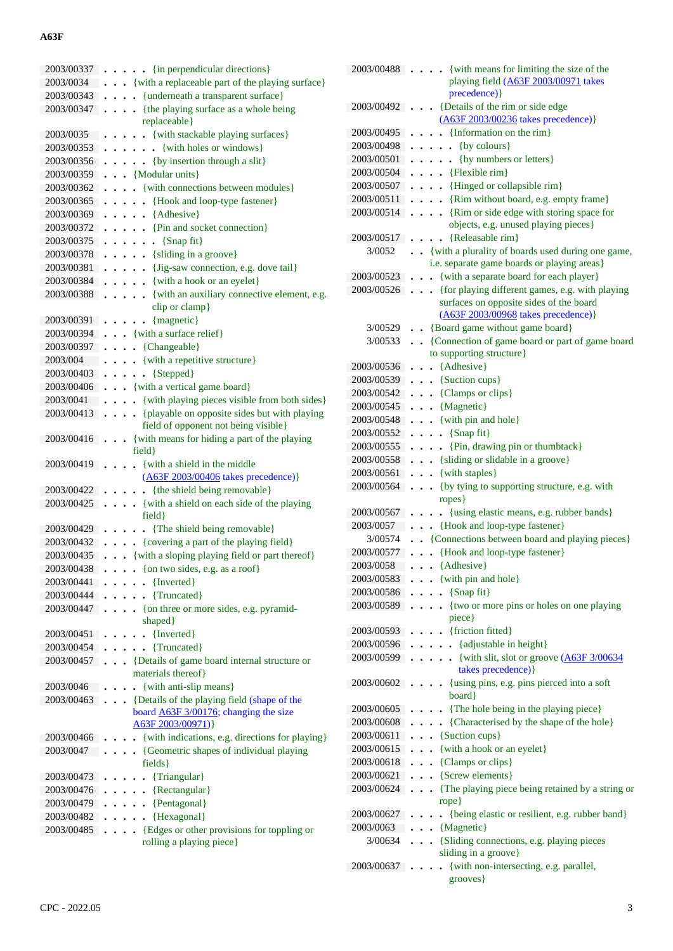| 2003/00337 | $\ldots$ {in perpendicular directions}                                  |
|------------|-------------------------------------------------------------------------|
| 2003/0034  | {with a replaceable part of the playing surface}                        |
| 2003/00343 | {underneath a transparent surface}                                      |
| 2003/00347 | {the playing surface as a whole being<br>replaceable}                   |
| 2003/0035  | {with stackable playing surfaces}<br>$\ddot{\phantom{0}}$<br>$\bullet$  |
| 2003/00353 | {with holes or windows}<br>$\ddot{\phantom{a}}$<br>$\ddot{\phantom{0}}$ |
| 2003/00356 | {by insertion through a slit}<br>$\ddot{\phantom{0}}$                   |
| 2003/00359 | . . {Modular units}                                                     |
|            |                                                                         |
| 2003/00362 | {with connections between modules}                                      |
| 2003/00365 | {Hook and loop-type fastener}<br>$\bullet$                              |
| 2003/00369 | {Adhesive}<br>$\ddot{\phantom{0}}$<br>$\bullet$                         |
| 2003/00372 | {Pin and socket connection}<br>$\bullet$                                |
| 2003/00375 | {Snap fit}<br>$\bullet$<br>$\bullet$                                    |
| 2003/00378 | · {sliding in a groove}                                                 |
| 2003/00381 | . . {Jig-saw connection, e.g. dove tail}                                |
| 2003/00384 | {with a hook or an eyelet}                                              |
| 2003/00388 | {with an auxiliary connective element, e.g.                             |
|            | clip or clamp}                                                          |
| 2003/00391 | {magnetic}                                                              |
| 2003/00394 | • {with a surface relief}                                               |
| 2003/00397 | • {Changeable}                                                          |
| 2003/004   | . { with a repetitive structure}                                        |
| 2003/00403 | $\bullet \ \{ \text{Stepped} \}$<br>$\ddot{\phantom{a}}$                |
| 2003/00406 | . . {with a vertical game board}                                        |
| 2003/0041  | {with playing pieces visible from both sides}<br>$\ddot{\phantom{0}}$   |
| 2003/00413 | {playable on opposite sides but with playing<br>$\ddot{\phantom{0}}$    |
|            | field of opponent not being visible}                                    |
| 2003/00416 | {with means for hiding a part of the playing<br>field}                  |
| 2003/00419 | {with a shield in the middle<br>(A63F 2003/00406 takes precedence)}     |
| 2003/00422 | {the shield being removable}                                            |
| 2003/00425 | {with a shield on each side of the playing                              |
|            | field }                                                                 |
| 2003/00429 | {The shield being removable}                                            |
| 2003/00432 | . {covering a part of the playing field}                                |
| 2003/00435 | {with a sloping playing field or part thereof}                          |
| 2003/00438 | {on two sides, e.g. as a roof}                                          |
| 2003/00441 | $\ldots$ {Inverted}                                                     |
| 2003/00444 | . {Truncated}<br>.                                                      |
| 2003/00447 | $\ldots$ {on three or more sides, e.g. pyramid-                         |
|            | shaped}                                                                 |
| 2003/00451 | {Inverted}<br>$\ddot{\phantom{0}}$                                      |
| 2003/00454 | {Truncated}                                                             |
| 2003/00457 | • {Details of game board internal structure or                          |
|            | materials thereof}                                                      |
| 2003/0046  | $\bullet$ {with anti-slip means}                                        |
| 2003/00463 | . {Details of the playing field (shape of the                           |
|            | board <b>A63F</b> 3/00176; changing the size<br>A63F 2003/00971)}       |
| 2003/00466 | {with indications, e.g. directions for playing}                         |
| 2003/0047  | . {Geometric shapes of individual playing                               |
|            | fields }                                                                |
| 2003/00473 | {Triangular}<br>$\ddot{\phantom{0}}$                                    |
| 2003/00476 | $\bullet$ {Rectangular}                                                 |
| 2003/00479 | {Pentagonal}                                                            |
| 2003/00482 | {Hexagonal}                                                             |
| 2003/00485 | . {Edges or other provisions for toppling or                            |
|            |                                                                         |
|            | rolling a playing piece}                                                |

| 2003/00488 | {with means for limiting the size of the<br>$\ddot{\phantom{0}}$               |
|------------|--------------------------------------------------------------------------------|
|            | playing field (A63F 2003/00971 takes                                           |
|            | precedence) }                                                                  |
| 2003/00492 | {Details of the rim or side edge<br>Π.<br>$\ddot{\phantom{0}}$                 |
|            | (A63F 2003/00236 takes precedence)}                                            |
| 2003/00495 | $\bullet$ {Information on the rim}                                             |
| 2003/00498 | $\bullet$ {by colours}                                                         |
| 2003/00501 | {by numbers or letters}                                                        |
| 2003/00504 | {Flexible rim}<br>$\ddot{\phantom{0}}$                                         |
| 2003/00507 | {Hinged or collapsible rim}<br>$\sim$<br>$\ddot{\phantom{a}}$                  |
| 2003/00511 | {Rim without board, e.g. empty frame}<br>$\sim$                                |
| 2003/00514 | {Rim or side edge with storing space for<br>$\ddot{\phantom{0}}$               |
|            | objects, e.g. unused playing pieces}                                           |
| 2003/00517 | {Releasable rim}                                                               |
| 3/0052     | . . {with a plurality of boards used during one game,                          |
|            | i.e. separate game boards or playing areas}                                    |
| 2003/00523 | {with a separate board for each player}<br>$\ddot{\phantom{a}}$                |
| 2003/00526 | {for playing different games, e.g. with playing                                |
|            | $\ddot{\phantom{0}}$<br>surfaces on opposite sides of the board                |
|            | (A63F 2003/00968 takes precedence)}                                            |
| 3/00529    | . . {Board game without game board}                                            |
| 3/00533    |                                                                                |
|            | {Connection of game board or part of game board<br>to supporting structure}    |
|            |                                                                                |
|            | 2003/00536 {Adhesive}                                                          |
| 2003/00539 | $\bullet$ $\bullet$ {Suction cups}                                             |
| 2003/00542 | $\bullet$ $\bullet$ {Clamps or clips}                                          |
| 2003/00545 | . . {Magnetic}                                                                 |
| 2003/00548 | $\bullet$ $\bullet$ {with pin and hole}                                        |
| 2003/00552 | $\ldots$ {Snap fit}                                                            |
| 2003/00555 | . {Pin, drawing pin or thumbtack}                                              |
| 2003/00558 | . { sliding or slidable in a groove}                                           |
| 2003/00561 | $\bullet \bullet$ {with staples}                                               |
| 2003/00564 | {by tying to supporting structure, e.g. with<br>$\sim$ $\sim$                  |
|            | ropes }                                                                        |
| 2003/00567 | {using elastic means, e.g. rubber bands}                                       |
| 2003/0057  | • {Hook and loop-type fastener}                                                |
| 3/00574    | • {Connections between board and playing pieces}                               |
| 2003/00577 | {Hook and loop-type fastener}<br>.                                             |
| 2003/0058  | {Adhesive}                                                                     |
|            | 2003/00583 {with pin and hole}                                                 |
| 2003/00586 | {Snap fit}                                                                     |
| 2003/00589 | {two or more pins or holes on one playing<br>$\ddotsc$<br>$\ddot{\phantom{0}}$ |
|            | piece }                                                                        |
| 2003/00593 | $\bullet$ {friction fitted}                                                    |
| 2003/00596 | $\ldots$ {adjustable in height}                                                |
| 2003/00599 | $\cdots$ (with slit, slot or groove $(\underline{A63F}3/00634)$                |
|            | takes precedence) }                                                            |
| 2003/00602 | . {using pins, e.g. pins pierced into a soft<br>$\ddot{\phantom{0}}$           |
|            | board }                                                                        |
| 2003/00605 | . The hole being in the playing piece}                                         |
| 2003/00608 | {Characterised by the shape of the hole}                                       |
| 2003/00611 | • {Suction cups}                                                               |
| 2003/00615 | {with a hook or an eyelet}                                                     |
| 2003/00618 | • {Clamps or clips}                                                            |
| 2003/00621 | • {Screw elements}                                                             |
| 2003/00624 | {The playing piece being retained by a string or<br>$\cdot$                    |
|            | rope}                                                                          |
| 2003/00627 | • {being elastic or resilient, e.g. rubber band}                               |
| 2003/0063  | $\cdots$ {Magnetic}                                                            |
| 3/00634    | . {Sliding connections, e.g. playing pieces                                    |
|            | sliding in a groove}                                                           |
| 2003/00637 | {with non-intersecting, e.g. parallel,                                         |
|            | grooves }                                                                      |
|            |                                                                                |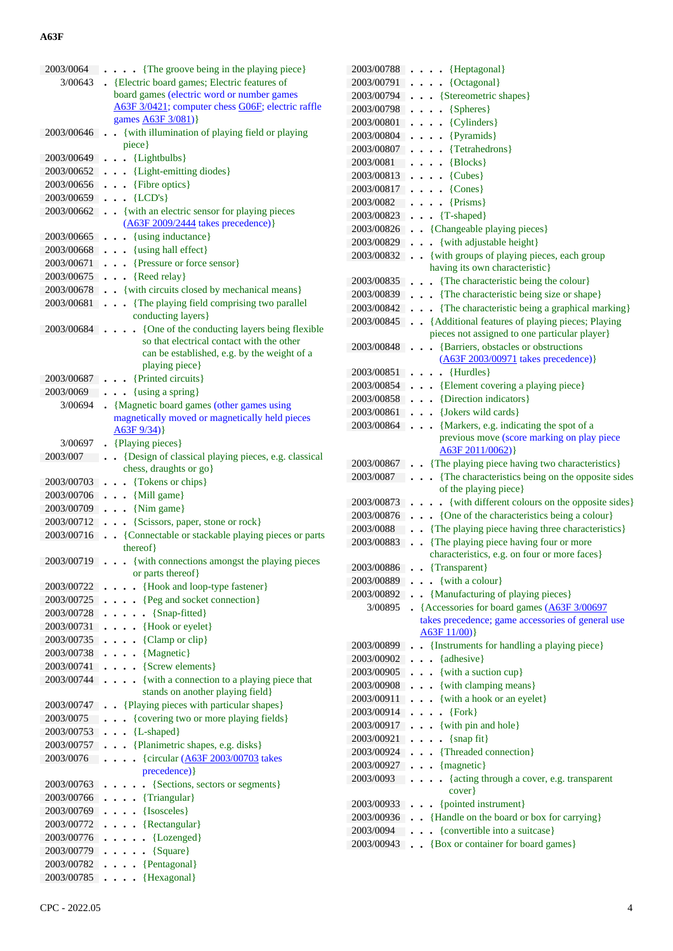| 2003/0064                | {The groove being in the playing piece}                                                               |
|--------------------------|-------------------------------------------------------------------------------------------------------|
| 3/00643                  | • {Electric board games; Electric features of                                                         |
|                          | board games (electric word or number games                                                            |
|                          | A63F 3/0421; computer chess G06F; electric raffle                                                     |
|                          | games <b>A63F</b> 3/081)}                                                                             |
| 2003/00646               | {with illumination of playing field or playing                                                        |
|                          | piece}                                                                                                |
| 2003/00649               | {Lightbulbs}<br>$\ddot{\phantom{0}}$<br>$\bullet$                                                     |
| 2003/00652               | • {Light-emitting diodes}                                                                             |
| 2003/00656               | {Fibre optics}<br>$\ddot{\phantom{0}}$                                                                |
| 2003/00659               | ${LCD's}$<br>$\ddot{\phantom{0}}$                                                                     |
| 2003/00662               | • {with an electric sensor for playing pieces                                                         |
|                          | (A63F 2009/2444 takes precedence)}                                                                    |
| 2003/00665               | {using inductance}                                                                                    |
| 2003/00668               | {using hall effect}                                                                                   |
| 2003/00671               | {Pressure or force sensor}                                                                            |
| 2003/00675               | {Reed relay}                                                                                          |
| 2003/00678               | • {with circuits closed by mechanical means}                                                          |
| 2003/00681               | {The playing field comprising two parallel                                                            |
|                          | conducting layers}                                                                                    |
| 2003/00684               | {One of the conducting layers being flexible                                                          |
|                          | so that electrical contact with the other                                                             |
|                          | can be established, e.g. by the weight of a                                                           |
|                          | playing piece}                                                                                        |
| 2003/00687               | {Printed circuits}                                                                                    |
| 2003/0069                | {using a spring}                                                                                      |
| 3/00694                  | {Magnetic board games (other games using                                                              |
|                          | magnetically moved or magnetically held pieces                                                        |
|                          | A63F9/34)                                                                                             |
| 3/00697<br>2003/007      | . {Playing pieces}                                                                                    |
|                          | {Design of classical playing pieces, e.g. classical<br>$\ddot{\phantom{a}}$<br>chess, draughts or go} |
| 2003/00703               | {Tokens or chips}                                                                                     |
| 2003/00706               | $\ddot{\phantom{0}}$<br>$\bullet$ $\bullet$ {Mill game}                                               |
|                          |                                                                                                       |
|                          |                                                                                                       |
| 2003/00709               | $\bullet$ $\bullet$ {Nim game}                                                                        |
| 2003/00712               | {Scissors, paper, stone or rock}                                                                      |
| 2003/00716               | • {Connectable or stackable playing pieces or parts                                                   |
|                          | thereof}                                                                                              |
| 2003/00719               | {with connections amongst the playing pieces                                                          |
|                          | or parts thereof}                                                                                     |
| 2003/00722               | {Hook and loop-type fastener}                                                                         |
| 2003/00725               | {Peg and socket connection}<br>$\ddot{\phantom{a}}$                                                   |
| 2003/00728               | {Snap-fitted}                                                                                         |
| 2003/00731               | {Hook or eyelet}<br>.                                                                                 |
| 2003/00735               | {Clamp or clip}<br>$\ddot{\phantom{0}}$                                                               |
| 2003/00738               | {Magnetic}<br>$\ddot{\phantom{a}}$                                                                    |
| 2003/00741               | $\cdot$ {Screw elements}                                                                              |
| 2003/00744               | {with a connection to a playing piece that<br>$\ddots$                                                |
|                          | stands on another playing field}                                                                      |
| 2003/00747               | {Playing pieces with particular shapes}                                                               |
| 2003/0075                | {covering two or more playing fields}                                                                 |
| 2003/00753               | {L-shaped}<br>$\ddot{\phantom{0}}$                                                                    |
| 2003/00757               | {Planimetric shapes, e.g. disks}                                                                      |
| 2003/0076                | {circular (A63F 2003/00703 takes                                                                      |
|                          | precedence) }                                                                                         |
| 2003/00763               | {Sections, sectors or segments}                                                                       |
| 2003/00766               | {Triangular}                                                                                          |
| 2003/00769               | {Isosceles}<br>$\ddot{\phantom{0}}$                                                                   |
| 2003/00772               | {Rectangular}<br>$\ddot{\phantom{0}}$                                                                 |
| 2003/00776               | {Lozenged}<br>$\ddot{\phantom{0}}$<br>$\ddot{\phantom{a}}$                                            |
| 2003/00779               | {Square}<br>$\ddot{\phantom{0}}$<br>$\ddot{\phantom{1}}$                                              |
| 2003/00782<br>2003/00785 | {Pentagonal}<br>$\ddotsc$<br>{Hexagonal}                                                              |

| 2003/00788   | {Heptagonal}                                              |
|--------------|-----------------------------------------------------------|
| 2003/00791   | {Octagonal}                                               |
| 2003/00794   | {Stereometric shapes}                                     |
| 2003/00798   | {Spheres}                                                 |
| 2003/00801   | {Cylinders}                                               |
| 2003/00804   | {Pyramids}                                                |
| 2003/00807   | {Tetrahedrons}                                            |
| 2003/0081    | {Blocks}                                                  |
| 2003/00813   | {Cubes}                                                   |
| 2003/00817   | ${Cones}$                                                 |
| 2003/0082    | ${Prisms}$                                                |
| 2003/00823   | {T-shaped}                                                |
| 2003/00826   | {Changeable playing pieces}                               |
| 2003/00829   | {with adjustable height}                                  |
| 2003/00832   | . . {with groups of playing pieces, each group            |
|              | having its own characteristic}                            |
| 2003/00835   | • {The characteristic being the colour}                   |
| 2003/00839   | . The characteristic being size or shape}                 |
| 2003/00842   | {The characteristic being a graphical marking}            |
| 2003/00845   | . Additional features of playing pieces; Playing          |
|              | pieces not assigned to one particular player}             |
| 2003/00848   | {Barriers, obstacles or obstructions                      |
|              | (A63F 2003/00971 takes precedence) }                      |
| 2003/00851   | {Hurdles}                                                 |
| 2003/00854   | {Element covering a playing piece}                        |
| 2003/00858   | {Direction indicators}                                    |
| 2003/00861   | {Jokers wild cards}                                       |
| 2003/00864   | {Markers, e.g. indicating the spot of a                   |
|              | previous move (score marking on play piece                |
|              | A63F 2011/0062)}                                          |
| 2003/00867   | {The playing piece having two characteristics}            |
| 2003/0087    | {The characteristics being on the opposite sides          |
|              | of the playing piece}                                     |
| 2003/00873   | {with different colours on the opposite sides}            |
| 2003/00876   | {One of the characteristics being a colour}               |
| 2003/0088    | {The playing piece having three characteristics}          |
| 2003/00883   | {The playing piece having four or more                    |
|              | characteristics, e.g. on four or more faces}              |
|              | 2003/00886 {Transparent}                                  |
|              | $2003/00889$ {with a colour}                              |
|              | 2003/00892 {Manufacturing of playing pieces}              |
|              | 3/00895 • {Accessories for board games (A63F 3/00697      |
|              | takes precedence; game accessories of general use         |
|              | A63F11/00)                                                |
| 2003/00899 . | {Instruments for handling a playing piece}                |
| 2003/00902   | {adhesive}<br>$\ddot{\phantom{a}}$                        |
| 2003/00905   | $\bullet$ $\bullet$ {with a suction cup}                  |
| 2003/00908   | . { with clamping means }                                 |
| 2003/00911   | . {with a hook or an eyelet}                              |
| 2003/00914   | $\left\{ \text{Fork} \right\}$<br>.                       |
| 2003/00917   | $\cdots$ {with pin and hole}                              |
| 2003/00921   | $\bullet \ \{ \text{snap fit} \}$<br>$\ddot{\phantom{0}}$ |
| 2003/00924   | • {Threaded connection}                                   |
| 2003/00927   | $\bullet \bullet \{ magnetic\}$                           |
| 2003/0093    | - {acting through a cover, e.g. transparent               |
|              | cover}                                                    |
| 2003/00933   | . . {pointed instrument}                                  |
|              | 2003/00936 . {Handle on the board or box for carrying}    |
| 2003/0094    | {convertible into a suitcase}                             |
|              | 2003/00943 . {Box or container for board games}           |
|              |                                                           |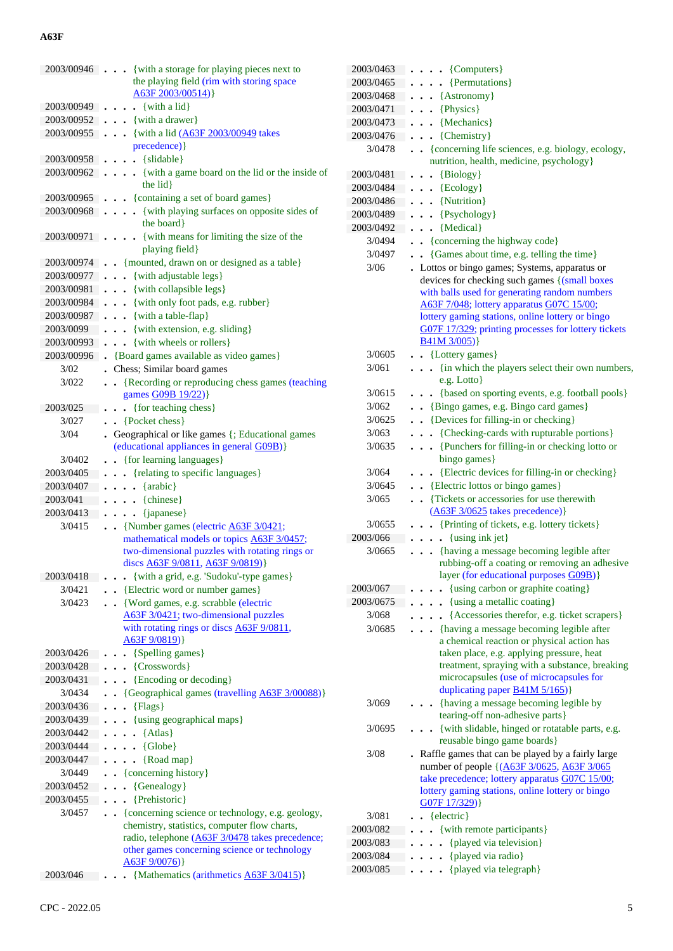| 2003/00946 | {with a storage for playing pieces next to                              |
|------------|-------------------------------------------------------------------------|
|            | the playing field (rim with storing space                               |
|            | A63F 2003/00514)                                                        |
| 2003/00949 | {with a lid}                                                            |
| 2003/00952 | $\bullet \bullet$ {with a drawer}                                       |
|            |                                                                         |
| 2003/00955 | • {with a lid (A63F 2003/00949 takes                                    |
|            | precedence) }                                                           |
| 2003/00958 | {slidable}<br>$\sim$                                                    |
| 2003/00962 | {with a game board on the lid or the inside of                          |
|            | the lid }                                                               |
| 2003/00965 | . {containing a set of board games}                                     |
|            |                                                                         |
| 2003/00968 | {with playing surfaces on opposite sides of<br>$\ddot{\phantom{0}}$     |
|            | the board}                                                              |
| 2003/00971 | {with means for limiting the size of the                                |
|            | playing field}                                                          |
| 2003/00974 | • {mounted, drawn on or designed as a table}                            |
| 2003/00977 | . . {with adjustable legs}                                              |
| 2003/00981 | . . {with collapsible legs}                                             |
|            |                                                                         |
| 2003/00984 | {with only foot pads, e.g. rubber}                                      |
| 2003/00987 | $\bullet$ $\bullet$ {with a table-flap}                                 |
| 2003/0099  | . . {with extension, e.g. sliding}                                      |
| 2003/00993 | $\bullet$ $\bullet$ {with wheels or rollers}                            |
| 2003/00996 | • {Board games available as video games}                                |
| 3/02       | Chess; Similar board games                                              |
|            |                                                                         |
| 3/022      | {Recording or reproducing chess games (teaching<br>$\ddot{\phantom{0}}$ |
|            | games G09B 19/22)}                                                      |
| 2003/025   | {for teaching chess}<br>$\ddot{\phantom{a}}$<br>$\bullet$               |
| 3/027      | {Pocket chess}                                                          |
| 3/04       | Geographical or like games {; Educational games                         |
|            | (educational appliances in general G09B)}                               |
| 3/0402     | • {for learning languages}                                              |
| 2003/0405  | . { relating to specific languages }                                    |
|            |                                                                         |
| 2003/0407  | $\bullet$ {arabic}<br>$\ddot{\phantom{0}}$                              |
| 2003/041   | {chinese}<br>$\ddotsc$                                                  |
| 2003/0413  | {japanese}                                                              |
| 3/0415     | • {Number games (electric A63F 3/0421;                                  |
|            | mathematical models or topics A63F 3/0457;                              |
|            | two-dimensional puzzles with rotating rings or                          |
|            | discs A63F 9/0811, A63F 9/0819)}                                        |
| 2003/0418  | . . {with a grid, e.g. 'Sudoku'-type games}                             |
| 3/0421     | • {Electric word or number games}                                       |
|            |                                                                         |
| 3/0423     | • {Word games, e.g. scrabble (electric                                  |
|            | A63F 3/0421; two-dimensional puzzles                                    |
|            | with rotating rings or discs A63F 9/0811,                               |
|            | A63F 9/0819)}                                                           |
| 2003/0426  | {Spelling games}                                                        |
| 2003/0428  | $\bullet \bullet \{Crosswords\}$                                        |
| 2003/0431  | {Encoding or decoding}                                                  |
| 3/0434     | • {Geographical games (travelling A63F 3/00088)}                        |
|            |                                                                         |
| 2003/0436  | ${Flags}$<br>$\ddot{\phantom{0}}$<br>$\ddot{\phantom{0}}$               |
| 2003/0439  | • {using geographical maps}                                             |
| 2003/0442  | {Atlas}<br>$\ddot{\phantom{a}}$<br>$\bullet$                            |
| 2003/0444  | {Globe}<br>$\cdots$                                                     |
| 2003/0447  | {Road map}<br>$\ddot{\phantom{0}}$                                      |
| 3/0449     |                                                                         |
|            | {concerning history}                                                    |
| 2003/0452  | {Genealogy}<br>$\ddot{\phantom{0}}$<br>$\ddot{\phantom{0}}$             |
| 2003/0455  | {Prehistoric}                                                           |
| 3/0457     | {concerning science or technology, e.g. geology,                        |
|            | chemistry, statistics, computer flow charts,                            |
|            | radio, telephone (A63F 3/0478 takes precedence;                         |
|            | other games concerning science or technology                            |
|            | A63F9/0076)                                                             |
| 2003/046   | {Mathematics (arithmetics A63F 3/0415)}                                 |
|            |                                                                         |
|            |                                                                         |

| 2003/0463 | $\bullet \quad \{Computers\}$<br>$\ddot{\phantom{1}}$                                                                                 |
|-----------|---------------------------------------------------------------------------------------------------------------------------------------|
| 2003/0465 | {Permutations}                                                                                                                        |
| 2003/0468 | {Astronomy}                                                                                                                           |
| 2003/0471 | {Physics}                                                                                                                             |
| 2003/0473 | {Mechanics}                                                                                                                           |
| 2003/0476 | {Chemistry}                                                                                                                           |
| 3/0478    | • {concerning life sciences, e.g. biology, ecology,                                                                                   |
|           | nutrition, health, medicine, psychology}                                                                                              |
| 2003/0481 | $\bullet$ {Biology}                                                                                                                   |
| 2003/0484 | $\bullet$ {Ecology}                                                                                                                   |
| 2003/0486 | {Nutrition}<br>$\ddot{\phantom{a}}$                                                                                                   |
| 2003/0489 | {Psychology}<br>$\ddot{\phantom{a}}$                                                                                                  |
| 2003/0492 | {Medical}<br>$\ddot{\phantom{0}}$                                                                                                     |
| 3/0494    | • {concerning the highway code}                                                                                                       |
| 3/0497    | {Games about time, e.g. telling the time}<br>$\ddot{\phantom{a}}$                                                                     |
| 3/06      | Lottos or bingo games; Systems, apparatus or                                                                                          |
|           | devices for checking such games {(small boxes                                                                                         |
|           | with balls used for generating random numbers                                                                                         |
|           | A63F 7/048; lottery apparatus G07C 15/00;<br>lottery gaming stations, online lottery or bingo                                         |
|           | G07F 17/329; printing processes for lottery tickets                                                                                   |
|           | $B41M$ 3/005)}                                                                                                                        |
| 3/0605    | $\bullet$ $\bullet$ {Lottery games}                                                                                                   |
| 3/061     | {in which the players select their own numbers,                                                                                       |
|           | e.g. Lotto}                                                                                                                           |
| 3/0615    | {based on sporting events, e.g. football pools}                                                                                       |
| 3/062     | . {Bingo games, e.g. Bingo card games}                                                                                                |
| 3/0625    | • {Devices for filling-in or checking}                                                                                                |
| 3/063     | • {Checking-cards with rupturable portions}                                                                                           |
| 3/0635    | {Punchers for filling-in or checking lotto or                                                                                         |
|           | bingo games}                                                                                                                          |
| 3/064     | . . {Electric devices for filling-in or checking}                                                                                     |
| 3/0645    | . . {Electric lottos or bingo games}                                                                                                  |
| 3/065     | {Tickets or accessories for use therewith<br>$\ddot{\phantom{a}}$                                                                     |
|           | $(A63F\frac{3}{0625}$ takes precedence) }                                                                                             |
| 3/0655    | {Printing of tickets, e.g. lottery tickets}                                                                                           |
| 2003/066  | {using ink jet}<br>$\ddot{\phantom{a}}$<br>$\ddot{\phantom{0}}$                                                                       |
| 3/0665    | • {having a message becoming legible after<br>rubbing-off a coating or removing an adhesive<br>layer (for educational purposes G09B)} |
| 2003/067  | {using carbon or graphite coating}                                                                                                    |
| 2003/0675 | {using a metallic coating}                                                                                                            |
| 3/068     | {Accessories therefor, e.g. ticket scrapers}                                                                                          |
| 3/0685    | {having a message becoming legible after                                                                                              |
|           | a chemical reaction or physical action has                                                                                            |
|           | taken place, e.g. applying pressure, heat                                                                                             |
|           | treatment, spraying with a substance, breaking<br>microcapsules (use of microcapsules for                                             |
|           | duplicating paper <b>B41M 5/165</b> )}                                                                                                |
| 3/069     | {having a message becoming legible by                                                                                                 |
|           | tearing-off non-adhesive parts}                                                                                                       |
| 3/0695    | {with slidable, hinged or rotatable parts, e.g.                                                                                       |
|           | reusable bingo game boards}                                                                                                           |
| 3/08      | Raffle games that can be played by a fairly large                                                                                     |
|           | number of people {(A63F 3/0625, A63F 3/065)                                                                                           |
|           | take precedence; lottery apparatus G07C 15/00;                                                                                        |
|           | lottery gaming stations, online lottery or bingo<br>G07F 17/329)}                                                                     |
| 3/081     | {electric}<br>$\ddot{\phantom{0}}$                                                                                                    |
| 2003/082  | {with remote participants}                                                                                                            |
| 2003/083  | {played via television}                                                                                                               |
| 2003/084  | {played via radio}                                                                                                                    |
| 2003/085  | {played via telegraph}                                                                                                                |
|           |                                                                                                                                       |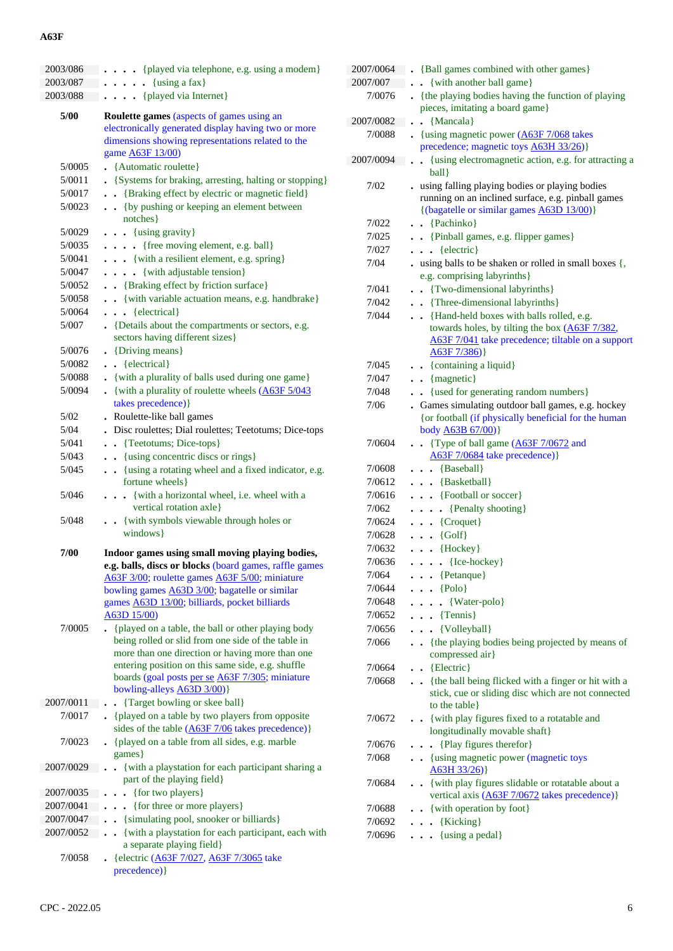| 2003/086  | {played via telephone, e.g. using a modem}                                            |
|-----------|---------------------------------------------------------------------------------------|
| 2003/087  | $\{using a fax\}$<br>$\ddot{\phantom{a}}$<br>$\ddot{\phantom{a}}$                     |
| 2003/088  | {played via Internet}                                                                 |
|           |                                                                                       |
| 5/00      | <b>Roulette games (aspects of games using an</b>                                      |
|           | electronically generated display having two or more                                   |
|           | dimensions showing representations related to the                                     |
|           | game <b>A63F</b> 13/00)                                                               |
| 5/0005    | • {Automatic roulette}                                                                |
| 5/0011    | • {Systems for braking, arresting, halting or stopping}                               |
| 5/0017    | {Braking effect by electric or magnetic field}<br>$\ddot{\phantom{0}}$                |
| 5/0023    | { by pushing or keeping an element between<br>notches }                               |
| 5/0029    | $\bullet$ $\bullet$ {using gravity}                                                   |
| 5/0035    | {free moving element, e.g. ball}<br>.                                                 |
| 5/0041    | . {with a resilient element, e.g. spring}                                             |
| 5/0047    | {with adjustable tension}                                                             |
| 5/0052    | . . {Braking effect by friction surface}                                              |
|           |                                                                                       |
| 5/0058    | . . {with variable actuation means, e.g. handbrake}                                   |
| 5/0064    | $\bullet$ {electrical}                                                                |
| 5/007     | • {Details about the compartments or sectors, e.g.<br>sectors having different sizes} |
| 5/0076    | • {Driving means}                                                                     |
| 5/0082    | $\bullet$ $\bullet$ {electrical}                                                      |
| 5/0088    | . {with a plurality of balls used during one game}                                    |
| 5/0094    | • {with a plurality of roulette wheels $(A63F 5/043)$                                 |
|           | takes precedence) }                                                                   |
| 5/02      | . Roulette-like ball games                                                            |
| 5/04      | Disc roulettes; Dial roulettes; Teetotums; Dice-tops                                  |
| 5/041     | {Teetotums; Dice-tops}<br>$\ddot{\phantom{0}}$                                        |
| 5/043     | · {using concentric discs or rings}<br>$\bullet$                                      |
| 5/045     | {using a rotating wheel and a fixed indicator, e.g.<br>$\ddot{\phantom{0}}$           |
|           | fortune wheels }                                                                      |
| 5/046     | {with a horizontal wheel, i.e. wheel with a<br>$\cdots$<br>vertical rotation axle}    |
| 5/048     | . {with symbols viewable through holes or<br>windows }                                |
|           |                                                                                       |
| 7/00      | Indoor games using small moving playing bodies,                                       |
|           | e.g. balls, discs or blocks (board games, raffle games                                |
|           | A63F 3/00; roulette games A63F 5/00; miniature                                        |
|           | bowling games A63D 3/00; bagatelle or similar                                         |
|           | games <b>A63D 13/00</b> ; billiards, pocket billiards                                 |
|           | A63D 15/00)                                                                           |
| 7/0005    | {played on a table, the ball or other playing body                                    |
|           | being rolled or slid from one side of the table in                                    |
|           | more than one direction or having more than one                                       |
|           | entering position on this same side, e.g. shuffle                                     |
|           | boards (goal posts per se A63F 7/305; miniature<br>bowling-alleys <b>A63D 3/00</b> )} |
| 2007/0011 | • {Target bowling or skee ball}                                                       |
| 7/0017    | • {played on a table by two players from opposite                                     |
|           | sides of the table $(A63F 7/06$ takes precedence)}                                    |
| 7/0023    | {played on a table from all sides, e.g. marble<br>games                               |
| 2007/0029 | {with a playstation for each participant sharing a                                    |
|           | part of the playing field}                                                            |
| 2007/0035 | {for two players}                                                                     |
| 2007/0041 | {for three or more players}                                                           |
| 2007/0047 | {simulating pool, snooker or billiards}                                               |
| 2007/0052 | {with a playstation for each participant, each with                                   |
|           | a separate playing field}                                                             |
| 7/0058    | {electric (A63F 7/027, A63F 7/3065 take                                               |
|           |                                                                                       |

| 2007/0064 | • {Ball games combined with other games}                                                                                                          |
|-----------|---------------------------------------------------------------------------------------------------------------------------------------------------|
| 2007/007  | {with another ball game}                                                                                                                          |
| 7/0076    | . {the playing bodies having the function of playing                                                                                              |
|           | pieces, imitating a board game}                                                                                                                   |
| 2007/0082 | {Mancala}                                                                                                                                         |
| 7/0088    | {using magnetic power (A63F 7/068 takes)<br>precedence; magnetic toys <b>A63H 33/26</b> )}                                                        |
| 2007/0094 | {using electromagnetic action, e.g. for attracting a<br>$\cdot$                                                                                   |
|           | ball }                                                                                                                                            |
| 7/02      | using falling playing bodies or playing bodies<br>running on an inclined surface, e.g. pinball games<br>{(bagatelle or similar games A63D 13/00)} |
| 7/022     | $\bullet$ {Pachinko}                                                                                                                              |
| 7/025     | {Pinball games, e.g. flipper games}                                                                                                               |
| 7/027     | $\bullet \bullet$ {electric}                                                                                                                      |
| 7/04      | using balls to be shaken or rolled in small boxes {,<br>e.g. comprising labyrinths}                                                               |
| 7/041     | • • {Two-dimensional labyrinths}                                                                                                                  |
| 7/042     | . Three-dimensional labyrinths }                                                                                                                  |
| 7/044     | . . {Hand-held boxes with balls rolled, e.g.                                                                                                      |
|           | towards holes, by tilting the box $(A63F7/382,$<br>A63F 7/041 take precedence; tiltable on a support<br>A63F7/386)                                |
| 7/045     | • {containing a liquid}                                                                                                                           |
| 7/047     | $\bullet$ {magnetic}                                                                                                                              |
| 7/048     | {used for generating random numbers}<br>$\ddot{\phantom{0}}$                                                                                      |
| 7/06      | Games simulating outdoor ball games, e.g. hockey                                                                                                  |
|           | {or football (if physically beneficial for the human                                                                                              |
|           | body A63B 67/00)}                                                                                                                                 |
| 7/0604    | {Type of ball game (A63F 7/0672 and<br>A63F 7/0684 take precedence) }                                                                             |
| 7/0608    | $\bullet$ {Baseball}                                                                                                                              |
| 7/0612    | $\bullet$ {Basketball}                                                                                                                            |
| 7/0616    | . . {Football or soccer}                                                                                                                          |
| 7/062     | • {Penalty shooting}                                                                                                                              |
| 7/0624    | $\bullet$ $\bullet$ {Croquet}                                                                                                                     |
| 7/0628    | $\bullet \bullet \{ Golf\}$                                                                                                                       |
| 7/0632    | $\ldots$ {Hockey}                                                                                                                                 |
| 7/0636    | $\ldots$ $\{$ [ce-hockey]                                                                                                                         |
| 7/064     | $\ldots$ {Petanque}                                                                                                                               |
| 7/0644    | $\cdots$ {Polo}                                                                                                                                   |
| 7/0648    | .<br>{Water-polo}                                                                                                                                 |
| 7/0652    | $\ldots$ {Tennis}                                                                                                                                 |
| 7/0656    | . {Volleyball}                                                                                                                                    |
| 7/066     | {the playing bodies being projected by means of<br>compressed air}                                                                                |
| 7/0664    | . . {Electric}                                                                                                                                    |
| 7/0668    | • {the ball being flicked with a finger or hit with a                                                                                             |
|           | stick, cue or sliding disc which are not connected<br>to the table}                                                                               |
| 7/0672    | . . {with play figures fixed to a rotatable and<br>longitudinally movable shaft}                                                                  |
| 7/0676    | {Play figures therefor}<br>$\ddot{\phantom{0}}$                                                                                                   |
| 7/068     | . . {using magnetic power (magnetic toys                                                                                                          |
|           | A63H33/26)                                                                                                                                        |
| 7/0684    | . . {with play figures slidable or rotatable about a<br>vertical axis (A63F 7/0672 takes precedence)}                                             |
| 7/0688    | . . {with operation by foot}                                                                                                                      |
| 7/0692    | $\ldots$ {Kicking}                                                                                                                                |
| 7/0696    | $\cdots$ {using a pedal}                                                                                                                          |
|           |                                                                                                                                                   |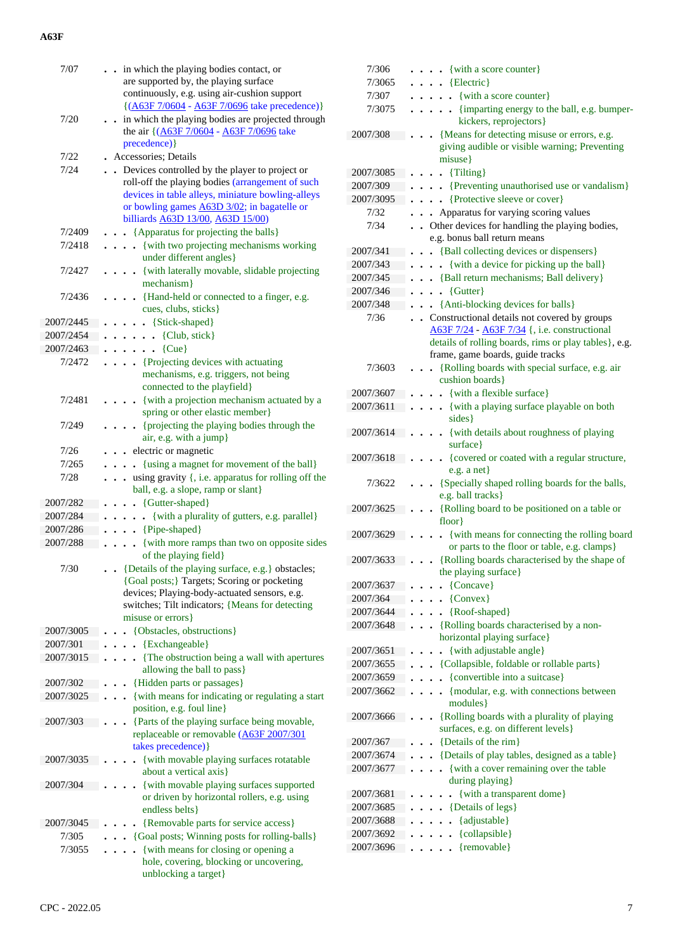| 7/07                  | . . in which the playing bodies contact, or<br>are supported by, the playing surface<br>continuously, e.g. using air-cushion support                                                                                                        |
|-----------------------|---------------------------------------------------------------------------------------------------------------------------------------------------------------------------------------------------------------------------------------------|
| 7/20                  | $({\underline{A63F 7/0604 - A63F 7/0696}}$ take precedence)}<br>in which the playing bodies are projected through<br>the air {(A63F 7/0604 - A63F 7/0696 take<br>precedence) }                                                              |
| 7/22                  | . Accessories; Details                                                                                                                                                                                                                      |
| 7/24                  | Devices controlled by the player to project or<br>roll-off the playing bodies (arrangement of such<br>devices in table alleys, miniature bowling-alleys<br>or bowling games A63D 3/02; in bagatelle or<br>billiards A63D 13/00, A63D 15/00) |
| 7/2409                | . . {Apparatus for projecting the balls}                                                                                                                                                                                                    |
| 7/2418                | {with two projecting mechanisms working<br>under different angles}                                                                                                                                                                          |
| 7/2427                | {with laterally movable, slidable projecting<br>mechanism}                                                                                                                                                                                  |
| 7/2436                | {Hand-held or connected to a finger, e.g.<br>$\cdot$<br>cues, clubs, sticks}                                                                                                                                                                |
| 2007/2445             | $\ldots$ {Stick-shaped}                                                                                                                                                                                                                     |
| 2007/2454             | $\ldots$ $\ldots$ {Club, stick}                                                                                                                                                                                                             |
| 2007/2463             | $\ldots$ $\{Cue\}$                                                                                                                                                                                                                          |
| 7/2472                | . {Projecting devices with actuating<br>mechanisms, e.g. triggers, not being<br>connected to the playfield}                                                                                                                                 |
| 7/2481                | {with a projection mechanism actuated by a<br>spring or other elastic member}                                                                                                                                                               |
| 7/249                 | {projecting the playing bodies through the<br>air, e.g. with a jump}                                                                                                                                                                        |
| 7/26                  | electric or magnetic                                                                                                                                                                                                                        |
| 7/265                 | {using a magnet for movement of the ball}                                                                                                                                                                                                   |
| 7/28                  | using gravity $\{$ , i.e. apparatus for rolling off the<br>ball, e.g. a slope, ramp or slant}                                                                                                                                               |
| 2007/282              | {Gutter-shaped}                                                                                                                                                                                                                             |
| 2007/284              | {with a plurality of gutters, e.g. parallel}<br>$\ddot{\phantom{0}}$                                                                                                                                                                        |
| 2007/286              | . . {Pipe-shaped}                                                                                                                                                                                                                           |
| 2007/288              | {with more ramps than two on opposite sides<br>of the playing field}                                                                                                                                                                        |
| 7/30                  | {Details of the playing surface, e.g.} obstacles;<br>{Goal posts;} Targets; Scoring or pocketing<br>devices; Playing-body-actuated sensors, e.g.<br>switches; Tilt indicators; {Means for detecting<br>misuse or errors }                   |
| 2007/3005             | {Obstacles, obstructions}                                                                                                                                                                                                                   |
| 2007/301              | {Exchangeable}                                                                                                                                                                                                                              |
| 2007/3015             | {The obstruction being a wall with apertures<br>allowing the ball to pass}                                                                                                                                                                  |
| 2007/302<br>2007/3025 | {Hidden parts or passages}                                                                                                                                                                                                                  |
|                       | {with means for indicating or regulating a start<br>position, e.g. foul line}                                                                                                                                                               |
| 2007/303              | {Parts of the playing surface being movable,<br>replaceable or removable (A63F 2007/301<br>takes precedence)}                                                                                                                               |
| 2007/3035             | {with movable playing surfaces rotatable<br>about a vertical axis}                                                                                                                                                                          |
| 2007/304              | {with movable playing surfaces supported<br>or driven by horizontal rollers, e.g. using<br>endless belts }                                                                                                                                  |
| 2007/3045             | {Removable parts for service access}                                                                                                                                                                                                        |
| 7/305                 | {Goal posts; Winning posts for rolling-balls}                                                                                                                                                                                               |
| 7/3055                | {with means for closing or opening a<br>hole, covering, blocking or uncovering,<br>unblocking a target}                                                                                                                                     |

| 7/306                  | $\bullet$ {with a score counter}                                                                                                                        |
|------------------------|---------------------------------------------------------------------------------------------------------------------------------------------------------|
| 7/3065                 | {Electric}                                                                                                                                              |
| 7/307                  | • {with a score counter}                                                                                                                                |
| 7/3075                 | • {imparting energy to the ball, e.g. bumper-<br>kickers, reprojectors}                                                                                 |
| 2007/308               | {Means for detecting misuse or errors, e.g.<br>giving audible or visible warning; Preventing                                                            |
|                        | misuse}                                                                                                                                                 |
| 2007/3085              | {Tilting}<br>$\ddot{\phantom{0}}$                                                                                                                       |
| 2007/309               | • {Preventing unauthorised use or vandalism}                                                                                                            |
| 2007/3095              | {Protective sleeve or cover}                                                                                                                            |
| 7/32                   | Apparatus for varying scoring values                                                                                                                    |
| 7/34                   | Other devices for handling the playing bodies,                                                                                                          |
|                        | e.g. bonus ball return means                                                                                                                            |
| 2007/341               | • {Ball collecting devices or dispensers}                                                                                                               |
| 2007/343               | {with a device for picking up the ball}                                                                                                                 |
| 2007/345               | • {Ball return mechanisms; Ball delivery}                                                                                                               |
| 2007/346               | {Gutter}<br>$\ddot{\phantom{a}}$                                                                                                                        |
| 2007/348               | {Anti-blocking devices for balls}                                                                                                                       |
| 7/36                   | • Constructional details not covered by groups<br>A63F 7/24 - A63F 7/34 {, i.e. constructional<br>details of rolling boards, rims or play tables}, e.g. |
|                        | frame, game boards, guide tracks                                                                                                                        |
| 7/3603                 | {Rolling boards with special surface, e.g. air<br>cushion boards}                                                                                       |
| 2007/3607              | $\bullet$ {with a flexible surface}                                                                                                                     |
| 2007/3611              | . {with a playing surface playable on both<br>sides }                                                                                                   |
| 2007/3614              | • {with details about roughness of playing<br>surface }                                                                                                 |
| 2007/3618              | . {covered or coated with a regular structure,<br>$e.g.$ a net}                                                                                         |
| 7/3622                 | {Specially shaped rolling boards for the balls,<br>e.g. ball tracks}                                                                                    |
| 2007/3625              | {Rolling board to be positioned on a table or<br>floor                                                                                                  |
| 2007/3629              | {with means for connecting the rolling board                                                                                                            |
| 2007/3633              | or parts to the floor or table, e.g. clamps}<br>{Rolling boards characterised by the shape of                                                           |
|                        | the playing surface}                                                                                                                                    |
| 2007/3637              | {Concave}                                                                                                                                               |
| 2007/364               | {Convex}                                                                                                                                                |
| 2007/3644<br>2007/3648 | {Roof-shaped}<br>{Rolling boards characterised by a non-                                                                                                |
|                        | horizontal playing surface}                                                                                                                             |
| 2007/3651              | {with adjustable angle}                                                                                                                                 |
| 2007/3655              | {Collapsible, foldable or rollable parts}                                                                                                               |
| 2007/3659              | {convertible into a suitcase}                                                                                                                           |
| 2007/3662              | {modular, e.g. with connections between<br>modules }                                                                                                    |
| 2007/3666              | {Rolling boards with a plurality of playing<br>surfaces, e.g. on different levels}                                                                      |
| 2007/367               | {Details of the rim}                                                                                                                                    |
| 2007/3674              | {Details of play tables, designed as a table}                                                                                                           |
| 2007/3677              | {with a cover remaining over the table<br>during playing}                                                                                               |
| 2007/3681              | {with a transparent dome}                                                                                                                               |
| 2007/3685              | {Details of legs}                                                                                                                                       |
| 2007/3688              | {adjustable}                                                                                                                                            |
| 2007/3692              | {collapsible}                                                                                                                                           |
| 2007/3696              | {removable}                                                                                                                                             |
|                        |                                                                                                                                                         |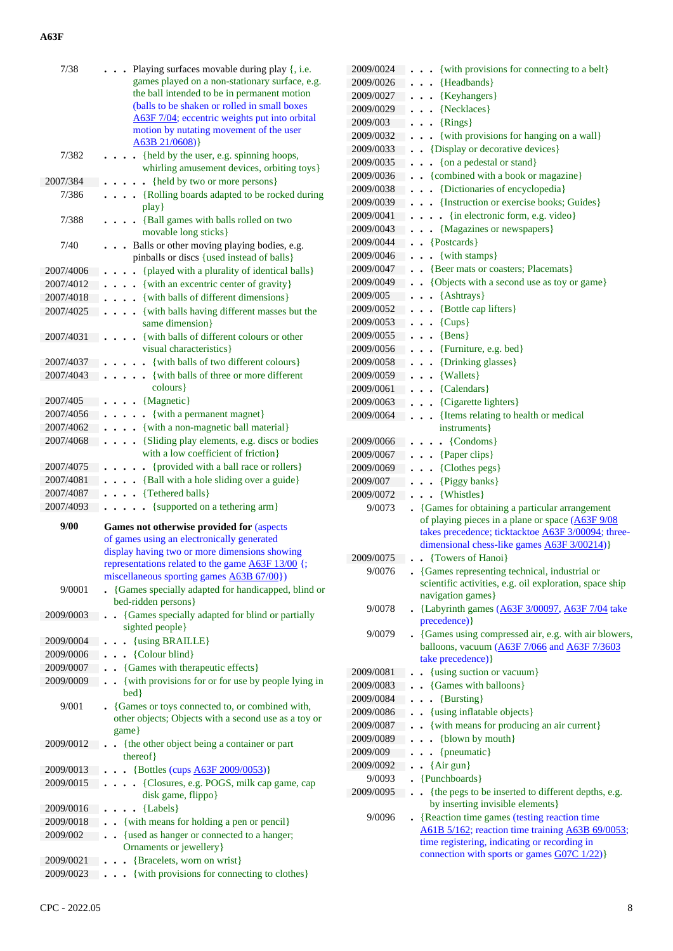| 7/38                   | Playing surfaces movable during play {, i.e.                                            |
|------------------------|-----------------------------------------------------------------------------------------|
|                        | games played on a non-stationary surface, e.g.                                          |
|                        | the ball intended to be in permanent motion                                             |
|                        | (balls to be shaken or rolled in small boxes                                            |
|                        | A63F 7/04; eccentric weights put into orbital                                           |
|                        | motion by nutating movement of the user                                                 |
|                        | A63B 21/0608                                                                            |
| 7/382                  | {held by the user, e.g. spinning hoops,                                                 |
|                        | whirling amusement devices, orbiting toys}                                              |
| 2007/384               | {held by two or more persons}                                                           |
| 7/386                  | {Rolling boards adapted to be rocked during<br>$\ddot{\phantom{0}}$                     |
|                        | play                                                                                    |
| 7/388                  | {Ball games with balls rolled on two<br>movable long sticks }                           |
| 7/40                   |                                                                                         |
|                        | Balls or other moving playing bodies, e.g.<br>pinballs or discs {used instead of balls} |
| 2007/4006              | {played with a plurality of identical balls}                                            |
| 2007/4012              | {with an excentric center of gravity}<br>$\ddot{\phantom{0}}$                           |
| 2007/4018              | {with balls of different dimensions}                                                    |
| 2007/4025              | • {with balls having different masses but the                                           |
|                        | $\bullet$<br>same dimension}                                                            |
| 2007/4031              | {with balls of different colours or other                                               |
|                        | visual characteristics}                                                                 |
| 2007/4037              | {with balls of two different colours}                                                   |
| 2007/4043              | {with balls of three or more different<br>$\overline{a}$                                |
|                        | colours }                                                                               |
| 2007/405               | {Magnetic}                                                                              |
| 2007/4056              | {with a permanent magnet}<br>$\cdot$                                                    |
| 2007/4062              | {with a non-magnetic ball material}<br>$\ddot{\phantom{0}}$                             |
| 2007/4068              | {Sliding play elements, e.g. discs or bodies<br>$\ddot{\phantom{0}}$                    |
|                        | with a low coefficient of friction}                                                     |
| 2007/4075              | {provided with a ball race or rollers}<br>$\ddot{\phantom{0}}$                          |
|                        |                                                                                         |
|                        |                                                                                         |
| 2007/4081<br>2007/4087 | {Ball with a hole sliding over a guide}                                                 |
| 2007/4093              | {Tethered balls}<br>• {supported on a tethering arm}                                    |
|                        |                                                                                         |
| 9/00                   | Games not otherwise provided for (aspects                                               |
|                        | of games using an electronically generated                                              |
|                        | display having two or more dimensions showing                                           |
|                        | representations related to the game A63F 13/00 {;                                       |
| 9/0001                 | miscellaneous sporting games <b>A63B 67/00</b> })                                       |
|                        | {Games specially adapted for handicapped, blind or<br>bed-ridden persons}               |
| 2009/0003              | {Games specially adapted for blind or partially                                         |
|                        | sighted people}                                                                         |
| 2009/0004              | {using BRAILLE}                                                                         |
| 2009/0006              | {Colour blind}                                                                          |
| 2009/0007              | {Games with therapeutic effects}                                                        |
| 2009/0009              | {with provisions for or for use by people lying in                                      |
|                        | bed }                                                                                   |
| 9/001                  | • {Games or toys connected to, or combined with,                                        |
|                        | other objects; Objects with a second use as a toy or                                    |
|                        | game }                                                                                  |
| 2009/0012              | {the other object being a container or part                                             |
|                        | thereof}                                                                                |
| 2009/0013              | • {Bottles (cups $\underline{A63F}$ 2009/0053)}                                         |
| 2009/0015              | {Closures, e.g. POGS, milk cap game, cap                                                |
|                        | disk game, flippo}                                                                      |
| 2009/0016              | {Labels}                                                                                |
| 2009/0018              | {with means for holding a pen or pencil}                                                |
| 2009/002               | {used as hanger or connected to a hanger;                                               |
|                        | Ornaments or jewellery}                                                                 |
| 2009/0021<br>2009/0023 | {Bracelets, worn on wrist}<br>. {with provisions for connecting to clothes}             |

| 2009/0024 | {with provisions for connecting to a belt}                   |
|-----------|--------------------------------------------------------------|
| 2009/0026 | {Headbands}                                                  |
| 2009/0027 | {Keyhangers}                                                 |
| 2009/0029 | {Necklaces}                                                  |
| 2009/003  | {Rings}                                                      |
| 2009/0032 | {with provisions for hanging on a wall}                      |
| 2009/0033 | {Display or decorative devices}                              |
| 2009/0035 | {on a pedestal or stand}                                     |
| 2009/0036 | {combined with a book or magazine}                           |
| 2009/0038 | • {Dictionaries of encyclopedia}                             |
|           |                                                              |
| 2009/0039 | {Instruction or exercise books; Guides}                      |
| 2009/0041 | $\bullet$ {in electronic form, e.g. video}                   |
| 2009/0043 | {Magazines or newspapers}                                    |
| 2009/0044 | $\bullet$ {Postcards}                                        |
| 2009/0046 | {with stamps}<br>$\ddot{\phantom{0}}$                        |
| 2009/0047 | {Beer mats or coasters; Placemats}                           |
| 2009/0049 | {Objects with a second use as toy or game}                   |
| 2009/005  | {Ashtrays}                                                   |
| 2009/0052 | {Bottle cap lifters}                                         |
| 2009/0053 | ${Cups}$<br>$\ddot{\phantom{0}}$                             |
| 2009/0055 | ${Bens}$<br>$\ddot{\phantom{0}}$                             |
| 2009/0056 | {Furniture, e.g. bed}<br>$\ddot{\phantom{0}}$                |
| 2009/0058 | {Drinking glasses}<br>$\ddot{\phantom{0}}$                   |
| 2009/0059 | $\bullet$ {Wallets}                                          |
|           |                                                              |
| 2009/0061 | $\bullet$ {Calendars}                                        |
| 2009/0063 | . . {Cigarette lighters}                                     |
| 2009/0064 | {Items relating to health or medical<br>$\ddot{\phantom{0}}$ |
|           | instruments }                                                |
| 2009/0066 | {Condoms}                                                    |
| 2009/0067 | {Paper clips}                                                |
| 2009/0069 | {Clothes pegs}                                               |
| 2009/007  | {Piggy banks}                                                |
| 2009/0072 | {Whistles}                                                   |
| 9/0073    | {Games for obtaining a particular arrangement                |
|           | of playing pieces in a plane or space (A63F 9/08             |
|           | takes precedence; ticktacktoe A63F 3/00094; three-           |
|           | dimensional chess-like games A63F 3/00214)}                  |
| 2009/0075 | • {Towers of Hanoi}                                          |
| 9/0076    | • {Games representing technical, industrial or               |
|           | scientific activities, e.g. oil exploration, space ship      |
|           | navigation games}                                            |
| 9/0078    | • {Labyrinth games (A63F 3/00097, A63F 7/04 take             |
|           | precedence) }                                                |
| 9/0079    | • {Games using compressed air, e.g. with air blowers,        |
|           | balloons, vacuum (A63F 7/066 and A63F 7/3603                 |
|           | take precedence) }                                           |
| 2009/0081 | {using suction or vacuum}                                    |
| 2009/0083 | {Games with balloons}                                        |
| 2009/0084 | {Bursting}                                                   |
| 2009/0086 | {using inflatable objects}                                   |
| 2009/0087 | {with means for producing an air current}                    |
| 2009/0089 |                                                              |
|           | {blown by mouth}                                             |
| 2009/009  | {pneumatic}                                                  |
| 2009/0092 | $\bullet$ {Air gun}                                          |
| 9/0093    | {Punchboards}                                                |
| 2009/0095 | - {the pegs to be inserted to different depths, e.g.         |
|           | by inserting invisible elements}                             |
| 9/0096    | . {Reaction time games (testing reaction time                |
|           | A61B 5/162; reaction time training A63B 69/0053;             |
|           | time registering, indicating or recording in                 |
|           | connection with sports or games G07C 1/22)}                  |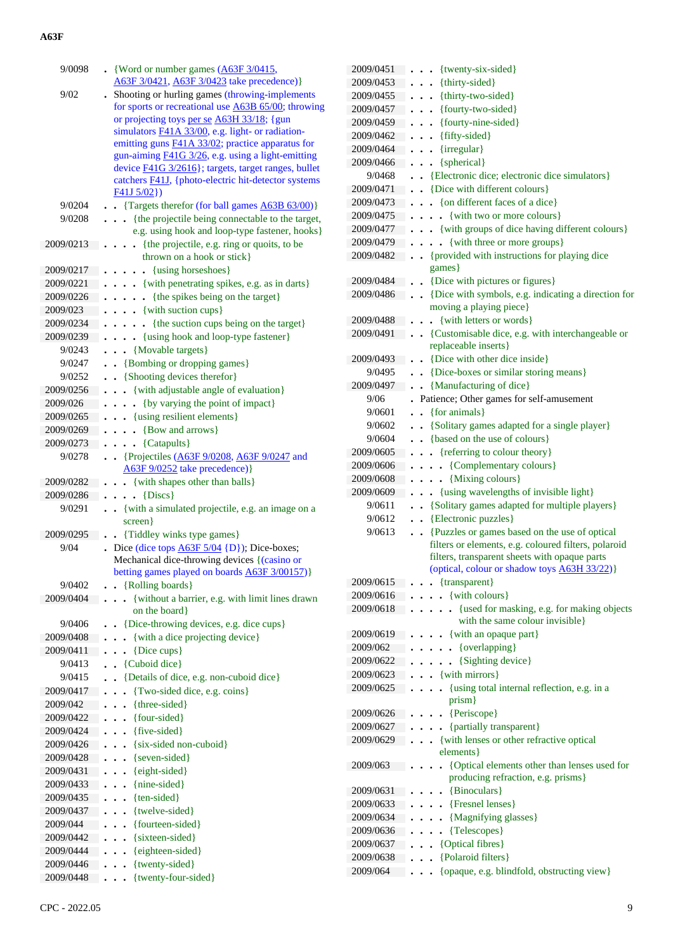| 9/0098                | $\bullet$ {Word or number games $(A63F3/0415,$                                                |
|-----------------------|-----------------------------------------------------------------------------------------------|
|                       | A63F 3/0421, A63F 3/0423 take precedence)}                                                    |
| 9/02                  | Shooting or hurling games (throwing-implements                                                |
|                       | for sports or recreational use <b>A63B 65/00</b> ; throwing                                   |
|                       | or projecting toys per se A63H 33/18; {gun                                                    |
|                       | simulators F41A 33/00, e.g. light- or radiation-                                              |
|                       | emitting guns F41A 33/02; practice apparatus for                                              |
|                       | gun-aiming <b>F41G</b> 3/26, e.g. using a light-emitting                                      |
|                       | device F41G 3/2616}; targets, target ranges, bullet                                           |
|                       | catchers <b>F41J</b> , {photo-electric hit-detector systems                                   |
|                       | F41J5/02)                                                                                     |
| 9/0204                | . Targets therefor (for ball games A63B 63/00)}                                               |
| 9/0208                | {the projectile being connectable to the target,                                              |
| 2009/0213             | e.g. using hook and loop-type fastener, hooks}<br>{the projectile, e.g. ring or quoits, to be |
|                       | $\ddots$<br>thrown on a hook or stick}                                                        |
| 2009/0217             | {using horseshoes}                                                                            |
| 2009/0221             | $\bullet$<br>$\ddot{\phantom{0}}$<br>{with penetrating spikes, e.g. as in darts}              |
| 2009/0226             | {the spikes being on the target}                                                              |
| 2009/023              | $\ddot{\phantom{0}}$<br>$\bullet$<br>$\cdots$ {with suction cups}                             |
| 2009/0234             | {the suction cups being on the target}                                                        |
| 2009/0239             | $\ddot{\phantom{0}}$<br>$\ddot{\phantom{0}}$<br>. {using hook and loop-type fastener}         |
| 9/0243                | {Movable targets}                                                                             |
| 9/0247                | $\ddot{\phantom{0}}$                                                                          |
| 9/0252                | • {Bombing or dropping games}<br>• {Shooting devices therefor}                                |
|                       |                                                                                               |
| 2009/0256<br>2009/026 | • {with adjustable angle of evaluation}<br>{by varying the point of impact}                   |
| 2009/0265             |                                                                                               |
| 2009/0269             | . {using resilient elements}<br>. . {Bow and arrows}                                          |
| 2009/0273             |                                                                                               |
| 9/0278                | {Catapults}<br>$\ddot{\phantom{0}}$                                                           |
|                       | • {Projectiles $(A63F 9/0208, A63F 9/0247$ and<br>A63F 9/0252 take precedence) }              |
| 2009/0282             | . . {with shapes other than balls}                                                            |
| 2009/0286             | $\cdots$ {Discs}                                                                              |
| 9/0291                | . . {with a simulated projectile, e.g. an image on a                                          |
|                       | screen }                                                                                      |
| 2009/0295             | {Tiddley winks type games}<br>$\ddot{\phantom{0}}$                                            |
| 9/04                  | Dice (dice tops $\underline{A63F 5/04}$ {D}); Dice-boxes;                                     |
|                       | Mechanical dice-throwing devices {(casino or                                                  |
|                       | betting games played on boards A63F 3/00157)}                                                 |
| 9/0402                | {Rolling boards}                                                                              |
| 2009/0404             | {without a barrier, e.g. with limit lines drawn                                               |
|                       | on the board                                                                                  |
| 9/0406                | {Dice-throwing devices, e.g. dice cups}                                                       |
| 2009/0408             | {with a dice projecting device}                                                               |
| 2009/0411             | {Dice cups}                                                                                   |
| 9/0413                | {Cuboid dice}                                                                                 |
| 9/0415                | {Details of dice, e.g. non-cuboid dice}                                                       |
| 2009/0417             | {Two-sided dice, e.g. coins}                                                                  |
| 2009/042              | {three-sided}<br>$\ddot{\phantom{0}}$<br>$\ddot{\phantom{0}}$                                 |
| 2009/0422             | {four-sided}<br>$\ddot{\phantom{0}}$<br>$\ddot{\phantom{0}}$                                  |
| 2009/0424             | {five-sided}<br>$\ddot{\phantom{0}}$<br>$\ddot{\phantom{0}}$                                  |
| 2009/0426             | {six-sided non-cuboid}<br>$\ddot{\phantom{0}}$<br>$\ddot{\phantom{0}}$                        |
| 2009/0428             | {seven-sided}                                                                                 |
| 2009/0431             | {eight-sided}                                                                                 |
| 2009/0433             | {nine-sided}                                                                                  |
| 2009/0435             | {ten-sided}                                                                                   |
| 2009/0437             | {twelve-sided}<br>$\ddot{\phantom{0}}$                                                        |
| 2009/044              | {fourteen-sided}                                                                              |
| 2009/0442             | {sixteen-sided}                                                                               |
| 2009/0444             | {eighteen-sided}                                                                              |
| 2009/0446             | {twenty-sided}                                                                                |
| 2009/0448             | {twenty-four-sided}                                                                           |

| 2009/0451              | {twenty-six-sided}<br>$\bullet$                                                                       |
|------------------------|-------------------------------------------------------------------------------------------------------|
| 2009/0453              | {thirty-sided}<br>$\bullet$                                                                           |
| 2009/0455              | {thirty-two-sided}                                                                                    |
| 2009/0457              | {fourty-two-sided}                                                                                    |
| 2009/0459              | {fourty-nine-sided}                                                                                   |
| 2009/0462              | {fifty-sided}                                                                                         |
| 2009/0464              | {irregular}                                                                                           |
| 2009/0466              | {spherical}<br>$\ddot{\phantom{a}}$                                                                   |
| 9/0468                 | • {Electronic dice; electronic dice simulators}                                                       |
| 2009/0471              | • {Dice with different colours}                                                                       |
| 2009/0473              | • {on different faces of a dice}                                                                      |
| 2009/0475              | • {with two or more colours}                                                                          |
| 2009/0477              | . { with groups of dice having different colours}                                                     |
| 2009/0479              | . {with three or more groups}                                                                         |
| 2009/0482              | • {provided with instructions for playing dice                                                        |
|                        | games}                                                                                                |
| 2009/0484              | {Dice with pictures or figures}<br>$\ddot{\phantom{a}}$                                               |
| 2009/0486              | {Dice with symbols, e.g. indicating a direction for<br>$\ddot{\phantom{a}}$                           |
| 2009/0488              | moving a playing piece}                                                                               |
| 2009/0491              | {with letters or words}<br>$\ddot{\phantom{0}}$<br>• {Customisable dice, e.g. with interchangeable or |
|                        | replaceable inserts}                                                                                  |
| 2009/0493              | {Dice with other dice inside}                                                                         |
| 9/0495                 | {Dice-boxes or similar storing means}                                                                 |
| 2009/0497              | {Manufacturing of dice}                                                                               |
| 9/06                   | Patience; Other games for self-amusement                                                              |
| 9/0601                 | {for animals}<br>$\mathbf{r}$                                                                         |
| 9/0602                 | . . {Solitary games adapted for a single player}                                                      |
| 9/0604                 | {based on the use of colours}                                                                         |
| 2009/0605              | . {referring to colour theory}                                                                        |
| 2009/0606              | {Complementary colours}                                                                               |
| 2009/0608              | {Mixing colours}<br>$\cdot$                                                                           |
| 2009/0609              | {using wavelengths of invisible light}<br>$\ddot{\phantom{0}}$                                        |
| 9/0611                 | . . {Solitary games adapted for multiple players}                                                     |
| 9/0612                 | {Electronic puzzles}<br>$\ddot{\phantom{0}}$                                                          |
| 9/0613                 | {Puzzles or games based on the use of optical<br>$\cdot$                                              |
|                        | filters or elements, e.g. coloured filters, polaroid<br>filters, transparent sheets with opaque parts |
|                        | (optical, colour or shadow toys A63H 33/22)}                                                          |
| 2009/0615              | {transparent}                                                                                         |
| 2009/0616              |                                                                                                       |
|                        |                                                                                                       |
| 2009/0618              | . {with colours}                                                                                      |
|                        | • {used for masking, e.g. for making objects<br>with the same colour invisible}                       |
| 2009/0619              | {with an opaque part}                                                                                 |
| 2009/062               | {overlapping}<br>$\ddot{\phantom{0}}$                                                                 |
| 2009/0622              | {Sighting device}<br>$\ddot{\phantom{0}}$                                                             |
| 2009/0623              | {with mirrors}<br>$\ddot{\phantom{0}}$                                                                |
| 2009/0625              | {using total internal reflection, e.g. in a<br>$\ddot{\phantom{a}}$                                   |
|                        | prism}                                                                                                |
| 2009/0626              | {Periscope}<br>$\ddot{\phantom{0}}$                                                                   |
| 2009/0627              | {partially transparent}                                                                               |
| 2009/0629              | {with lenses or other refractive optical                                                              |
|                        | elements }                                                                                            |
| 2009/063               | {Optical elements other than lenses used for                                                          |
|                        | producing refraction, e.g. prisms}                                                                    |
| 2009/0631<br>2009/0633 | • {Binoculars}<br>. {Fresnel lenses}                                                                  |
| 2009/0634              | • {Magnifying glasses}                                                                                |
| 2009/0636              | {Telescopes}                                                                                          |
| 2009/0637              | {Optical fibres}                                                                                      |
| 2009/0638              | {Polaroid filters}                                                                                    |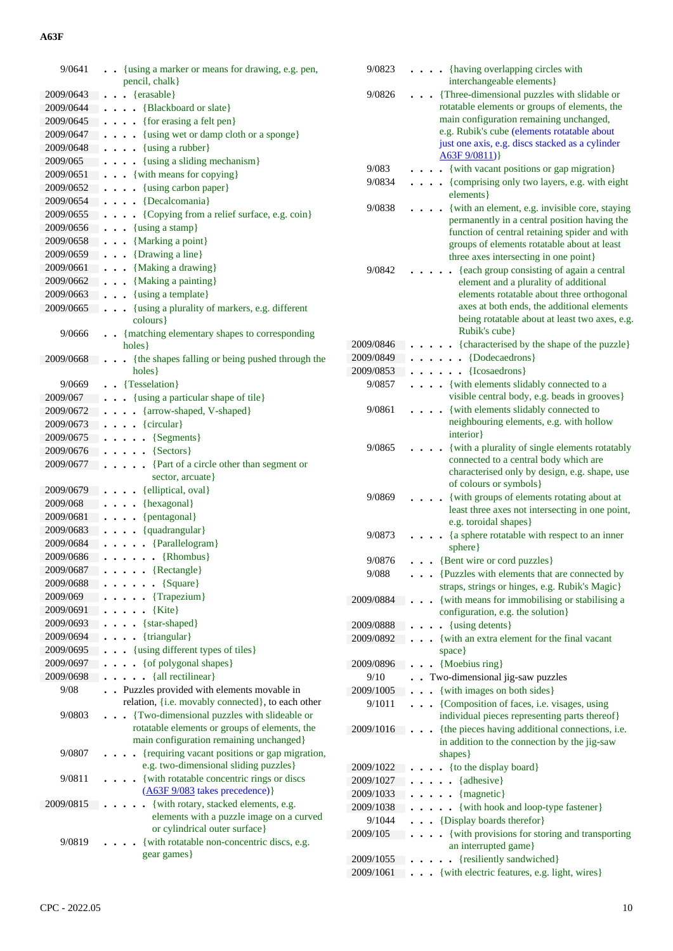| 9/0641    | {using a marker or means for drawing, e.g. pen,                                          | 9/0823    |   | . {having overlapping circles with                                                     |
|-----------|------------------------------------------------------------------------------------------|-----------|---|----------------------------------------------------------------------------------------|
|           | pencil, chalk}                                                                           |           |   | interchangeable elements}                                                              |
| 2009/0643 | $\ldots$ {erasable}                                                                      | 9/0826    | . | {Three-dimensional puzzles with slidable or                                            |
| 2009/0644 | {Blackboard or slate}                                                                    |           |   | rotatable elements or groups of elements, the                                          |
| 2009/0645 | $\ldots$ (for erasing a felt pen)                                                        |           |   | main configuration remaining unchanged,                                                |
| 2009/0647 | $\ldots$ {using wet or damp cloth or a sponge}                                           |           |   | e.g. Rubik's cube (elements rotatable about                                            |
| 2009/0648 | $\ldots$ {using a rubber}                                                                |           |   | just one axis, e.g. discs stacked as a cylinder                                        |
| 2009/065  | $\ldots$ {using a sliding mechanism}                                                     | 9/083     |   | A63F 9/0811)<br>. {with vacant positions or gap migration}                             |
| 2009/0651 | $\cdot \cdot \cdot$ {with means for copying}                                             | 9/0834    |   | . {comprising only two layers, e.g. with eight                                         |
| 2009/0652 | $\ldots$ {using carbon paper}                                                            |           |   | elements }                                                                             |
| 2009/0654 | $\ldots$ {Decalcomania}                                                                  | 9/0838    | . | {with an element, e.g. invisible core, staying                                         |
| 2009/0655 | {Copying from a relief surface, e.g. coin}                                               |           |   | permanently in a central position having the                                           |
| 2009/0656 | $\cdots$ {using a stamp}                                                                 |           |   | function of central retaining spider and with                                          |
| 2009/0658 | $\ldots$ {Marking a point}                                                               |           |   | groups of elements rotatable about at least                                            |
| 2009/0659 | $\cdots$ {Drawing a line}                                                                |           |   | three axes intersecting in one point}                                                  |
| 2009/0661 | $\ldots$ {Making a drawing}                                                              | 9/0842    |   | {each group consisting of again a central                                              |
| 2009/0662 | . {Making a painting}                                                                    |           |   | element and a plurality of additional                                                  |
| 2009/0663 | $\ldots$ {using a template}                                                              |           |   | elements rotatable about three orthogonal                                              |
| 2009/0665 | {using a plurality of markers, e.g. different                                            |           |   | axes at both ends, the additional elements                                             |
|           | colours}                                                                                 |           |   | being rotatable about at least two axes, e.g.                                          |
| 9/0666    | . {matching elementary shapes to corresponding                                           |           |   | Rubik's cube}                                                                          |
|           | $holes$ }                                                                                | 2009/0846 |   | {characterised by the shape of the puzzle}                                             |
| 2009/0668 | {the shapes falling or being pushed through the                                          | 2009/0849 |   | $\ldots$ . $\{Dodecaedrons\}$                                                          |
|           | holes }                                                                                  | 2009/0853 |   | $\ldots$ {Icosaedrons}                                                                 |
| 9/0669    | . Tesselation}                                                                           | 9/0857    |   | . {with elements slidably connected to a                                               |
| 2009/067  | {using a particular shape of tile}                                                       |           |   | visible central body, e.g. beads in grooves}                                           |
| 2009/0672 | . {arrow-shaped, V-shaped}                                                               | 9/0861    | . | {with elements slidably connected to                                                   |
| 2009/0673 | $\ldots$ (circular)                                                                      |           |   | neighbouring elements, e.g. with hollow                                                |
| 2009/0675 | $\ldots$ $\ldots$ {Segments}                                                             |           |   | interior}                                                                              |
| 2009/0676 | $\ldots$ . $\{Sectors\}$                                                                 | 9/0865    | . | {with a plurality of single elements rotatably                                         |
| 2009/0677 | $\ldots$ $\ldots$ {Part of a circle other than segment or                                |           |   | connected to a central body which are<br>characterised only by design, e.g. shape, use |
|           | sector, arcuate}                                                                         |           |   | of colours or symbols}                                                                 |
| 2009/0679 | $\ldots$ (elliptical, oval)                                                              | 9/0869    | . | {with groups of elements rotating about at                                             |
| 2009/068  | $\cdots$ {hexagonal}                                                                     |           |   | least three axes not intersecting in one point,                                        |
| 2009/0681 | $\cdots$ (pentagonal)                                                                    |           |   | e.g. toroidal shapes}                                                                  |
| 2009/0683 | $\cdots$ (quadrangular)                                                                  | 9/0873    | . | {a sphere rotatable with respect to an inner                                           |
| 2009/0684 | $\cdots$ $\cdots$ {Parallelogram}                                                        |           |   | sphere }                                                                               |
| 2009/0686 | $\ldots$ {Rhombus}                                                                       | 9/0876    |   | {Bent wire or cord puzzles}                                                            |
| 2009/0687 | $\cdots$ $\cdots$ {Rectangle}                                                            | 9/088     |   | . {Puzzles with elements that are connected by                                         |
| 2009/0688 | $\ldots$ {Square}                                                                        |           |   | straps, strings or hinges, e.g. Rubik's Magic}                                         |
| 2009/069  | $\cdots$ $\cdots$ {Trapezium}                                                            | 2009/0884 |   | {with means for immobilising or stabilising a                                          |
| 2009/0691 | $\ldots$ $\{Kite\}$                                                                      |           |   | configuration, e.g. the solution}                                                      |
| 2009/0693 | $\cdots$ (star-shaped)                                                                   | 2009/0888 |   | $\cdots$ (using detents)                                                               |
| 2009/0694 | $\ldots$ {triangular}                                                                    | 2009/0892 |   | . {with an extra element for the final vacant                                          |
| 2009/0695 | {using different types of tiles}                                                         |           |   | space }                                                                                |
| 2009/0697 | $\ldots$ (of polygonal shapes)                                                           | 2009/0896 |   | . {Moebius ring}                                                                       |
| 2009/0698 | $\ldots$ $\{$ all rectilinear $\}$                                                       | 9/10      |   | . Two-dimensional jig-saw puzzles                                                      |
| 9/08      | . Puzzles provided with elements movable in                                              | 2009/1005 |   | . {with images on both sides}                                                          |
|           | relation, {i.e. movably connected}, to each other                                        | 9/1011    |   | {Composition of faces, i.e. visages, using                                             |
| 9/0803    | . {Two-dimensional puzzles with slideable or                                             |           |   | individual pieces representing parts thereof}                                          |
|           | rotatable elements or groups of elements, the                                            | 2009/1016 |   | {the pieces having additional connections, i.e.                                        |
|           | main configuration remaining unchanged}                                                  |           |   | in addition to the connection by the jig-saw                                           |
| 9/0807    | . {requiring vacant positions or gap migration,<br>e.g. two-dimensional sliding puzzles} |           |   | shapes }                                                                               |
| 9/0811    | {with rotatable concentric rings or discs                                                | 2009/1022 |   | $\ldots$ (to the display board)                                                        |
|           | $(A63F 9/083$ takes precedence)}                                                         | 2009/1027 |   | $\ldots$ . {adhesive}                                                                  |
| 2009/0815 | . {with rotary, stacked elements, e.g.                                                   | 2009/1033 |   | $\cdots$ $\cdots$ {magnetic}                                                           |
|           | elements with a puzzle image on a curved                                                 | 2009/1038 |   | . { with hook and loop-type fastener}                                                  |
|           | or cylindrical outer surface}                                                            | 9/1044    |   | . {Display boards therefor}                                                            |
| 9/0819    | {with rotatable non-concentric discs, e.g.<br>.                                          | 2009/105  |   | { with provisions for storing and transporting                                         |
|           | gear games                                                                               |           |   | an interrupted game}                                                                   |
|           |                                                                                          | 2009/1055 | . | {resiliently sandwiched}                                                               |
|           |                                                                                          | 2009/1061 |   | . {with electric features, e.g. light, wires}                                          |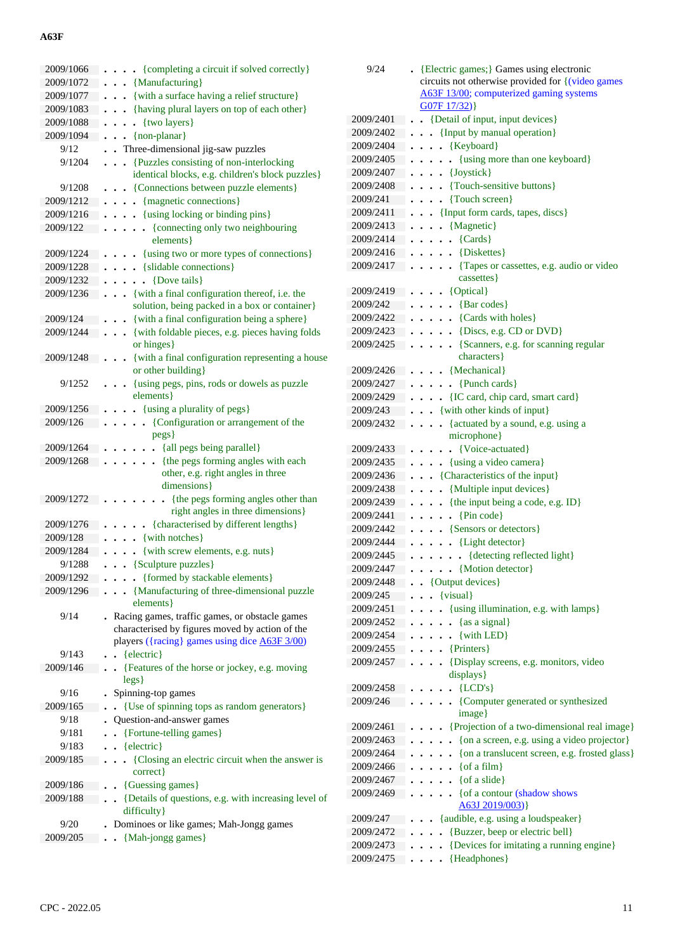| 2009/1066             | • {completing a circuit if solved correctly}                           |
|-----------------------|------------------------------------------------------------------------|
| 2009/1072             | {Manufacturing}<br>$\ddot{\phantom{a}}$                                |
| 2009/1077             | {with a surface having a relief structure}                             |
| 2009/1083             | {having plural layers on top of each other}                            |
| 2009/1088             | {two layers}<br>$\ddot{\phantom{0}}$                                   |
| 2009/1094             | {non-planar}<br>$\ddot{\phantom{0}}$                                   |
| 9/12                  | . Three-dimensional jig-saw puzzles                                    |
| 9/1204                | {Puzzles consisting of non-interlocking<br>$\ddot{\phantom{a}}$        |
|                       | identical blocks, e.g. children's block puzzles}                       |
| 9/1208                | {Connections between puzzle elements}<br>$\ddot{\phantom{0}}$          |
| 2009/1212             | {magnetic connections}<br>$\ddot{\phantom{0}}$<br>$\ddot{\phantom{0}}$ |
| 2009/1216             | {using locking or binding pins}<br>$\ddot{\phantom{0}}$                |
| 2009/122              | {connecting only two neighbouring<br>$\ddot{\phantom{0}}$              |
|                       | elements }                                                             |
| 2009/1224             | - {using two or more types of connections}                             |
| 2009/1228             | • {slidable connections}                                               |
| 2009/1232             | {Dove tails}                                                           |
| 2009/1236             | {with a final configuration thereof, i.e. the                          |
|                       | solution, being packed in a box or container}                          |
| 2009/124              | {with a final configuration being a sphere}                            |
| 2009/1244             | {with foldable pieces, e.g. pieces having folds                        |
|                       | or hinges}                                                             |
| 2009/1248             | {with a final configuration representing a house                       |
|                       | or other building }                                                    |
| 9/1252                | {using pegs, pins, rods or dowels as puzzle                            |
|                       | elements }                                                             |
| 2009/1256<br>2009/126 | . {using a plurality of pegs}<br>{Configuration or arrangement of the  |
|                       | pegs}                                                                  |
| 2009/1264             | {all pegs being parallel}                                              |
| 2009/1268             | {the pegs forming angles with each<br>$\ddot{\phantom{0}}$             |
|                       | other, e.g. right angles in three                                      |
|                       | dimensions }                                                           |
| 2009/1272             | {the pegs forming angles other than                                    |
|                       | right angles in three dimensions}                                      |
| 2009/1276             | {characterised by different lengths}                                   |
| 2009/128              | {with notches}                                                         |
| 2009/1284             | {with screw elements, e.g. nuts}                                       |
| 9/1288                | {Sculpture puzzles}                                                    |
| 2009/1292             | • {formed by stackable elements}                                       |
| 2009/1296             | • {Manufacturing of three-dimensional puzzle                           |
|                       | elements }                                                             |
| 9/14                  | . Racing games, traffic games, or obstacle games                       |
|                       | characterised by figures moved by action of the                        |
|                       | players ({racing} games using dice A63F 3/00)                          |
| 9/143                 | {electric}<br>$\ddot{\phantom{a}}$                                     |
| 2009/146              | {Features of the horse or jockey, e.g. moving                          |
| 9/16                  | legs)<br>Spinning-top games                                            |
| 2009/165              | {Use of spinning tops as random generators}                            |
| 9/18                  | Question-and-answer games                                              |
| 9/181                 | {Fortune-telling games}                                                |
| 9/183                 | $\bullet$ {electric}                                                   |
| 2009/185              | {Closing an electric circuit when the answer is<br>$\mathbf{r}$        |
|                       | correct}                                                               |
| 2009/186              | {Guessing games}                                                       |
| 2009/188              | {Details of questions, e.g. with increasing level of                   |
|                       | difficulty }                                                           |
| 9/20                  | Dominoes or like games; Mah-Jongg games                                |
| 2009/205              | {Mah-jongg games}                                                      |
|                       |                                                                        |

| 9/24      | {Electric games;} Games using electronic                                       |
|-----------|--------------------------------------------------------------------------------|
|           | circuits not otherwise provided for {(video games                              |
|           | A63F 13/00; computerized gaming systems<br>G07F17/32)                          |
|           |                                                                                |
| 2009/2401 | {Detail of input, input devices}                                               |
| 2009/2402 | • {Input by manual operation}                                                  |
| 2009/2404 | {Keyboard}<br>$\ddot{\phantom{0}}$<br>$\ddot{\phantom{0}}$                     |
| 2009/2405 | {using more than one keyboard}<br>$\ddot{\phantom{0}}$<br>$\ddot{\phantom{0}}$ |
| 2009/2407 | • {Joystick}<br>$\ddot{\phantom{0}}$                                           |
| 2009/2408 | • {Touch-sensitive buttons}                                                    |
| 2009/241  | {Touch screen}<br>$\ddot{\phantom{0}}$                                         |
| 2009/2411 | {Input form cards, tapes, discs}<br>$\ddotsc$                                  |
| 2009/2413 | {Magnetic}<br>$\ddot{\phantom{0}}$<br>$\ddot{\phantom{0}}$                     |
| 2009/2414 | $\text{Cards}$<br>$\ddot{\phantom{0}}$                                         |
| 2009/2416 | {Diskettes}                                                                    |
| 2009/2417 | {Tapes or cassettes, e.g. audio or video}<br>cassettes }                       |
| 2009/2419 | $\cdots$ {Optical}                                                             |
| 2009/242  | $\bullet$ {Bar codes}                                                          |
| 2009/2422 | . {Cards with holes}                                                           |
| 2009/2423 | $\ldots$ {Discs, e.g. CD or DVD}                                               |
| 2009/2425 | {Scanners, e.g. for scanning regular<br>$\ddot{\phantom{0}}$                   |
|           | characters }                                                                   |
| 2009/2426 | {Mechanical}<br>$\ddot{\phantom{0}}$                                           |
| 2009/2427 | $\bullet$ {Punch cards}                                                        |
| 2009/2429 | {IC card, chip card, smart card}<br>$\ddot{\phantom{0}}$                       |
| 2009/243  | • {with other kinds of input}                                                  |
| 2009/2432 | {actuated by a sound, e.g. using a<br>$\bullet$                                |
|           | microphone }                                                                   |
| 2009/2433 | {Voice-actuated}                                                               |
| 2009/2435 | . {using a video camera}                                                       |
| 2009/2436 | {Characteristics of the input}                                                 |
| 2009/2438 | {Multiple input devices}                                                       |
| 2009/2439 | {the input being a code, e.g. ID}                                              |
| 2009/2441 | $\textbf{.} \{ \text{Pin code} \}$                                             |
| 2009/2442 | • {Sensors or detectors}<br>$\ddot{\phantom{0}}$                               |
| 2009/2444 | • {Light detector}                                                             |
| 2009/2445 | • {detecting reflected light}<br>$\cdots$<br>$\ddot{\phantom{0}}$              |
| 2009/2447 | $\ldots$ (Motion detector)                                                     |
| 2009/2448 | . . {Output devices}                                                           |
| 2009/245  | {visual}                                                                       |
| 2009/2451 | • {using illumination, e.g. with lamps}<br>$\ddot{\phantom{0}}$                |
| 2009/2452 | $\bullet \bullet \{ \text{as a signal} \}$<br>$\ddot{\phantom{a}}$             |
| 2009/2454 | .<br>{with LED}                                                                |
| 2009/2455 | $\cdots$ {Printers}                                                            |
| 2009/2457 | {Display screens, e.g. monitors, video                                         |
|           | displays}                                                                      |
| 2009/2458 | ${LCD's}$<br>$\ddot{\phantom{0}}$                                              |
| 2009/246  | {Computer generated or synthesized<br>$\bullet$<br>image}                      |
| 2009/2461 | {Projection of a two-dimensional real image}                                   |
| 2009/2463 | {on a screen, e.g. using a video projector}                                    |
| 2009/2464 | {on a translucent screen, e.g. frosted glass}                                  |
| 2009/2466 | { $of a film$ }                                                                |
| 2009/2467 | {of a slide}<br>$\overline{a}$                                                 |
| 2009/2469 | {of a contour (shadow shows<br>$\ddot{\phantom{0}}$                            |
|           | A63J 2019/003)                                                                 |
| 2009/247  | {audible, e.g. using a loudspeaker}                                            |
| 2009/2472 | • {Buzzer, beep or electric bell}                                              |
| 2009/2473 | {Devices for imitating a running engine}                                       |
| 2009/2475 | {Headphones}                                                                   |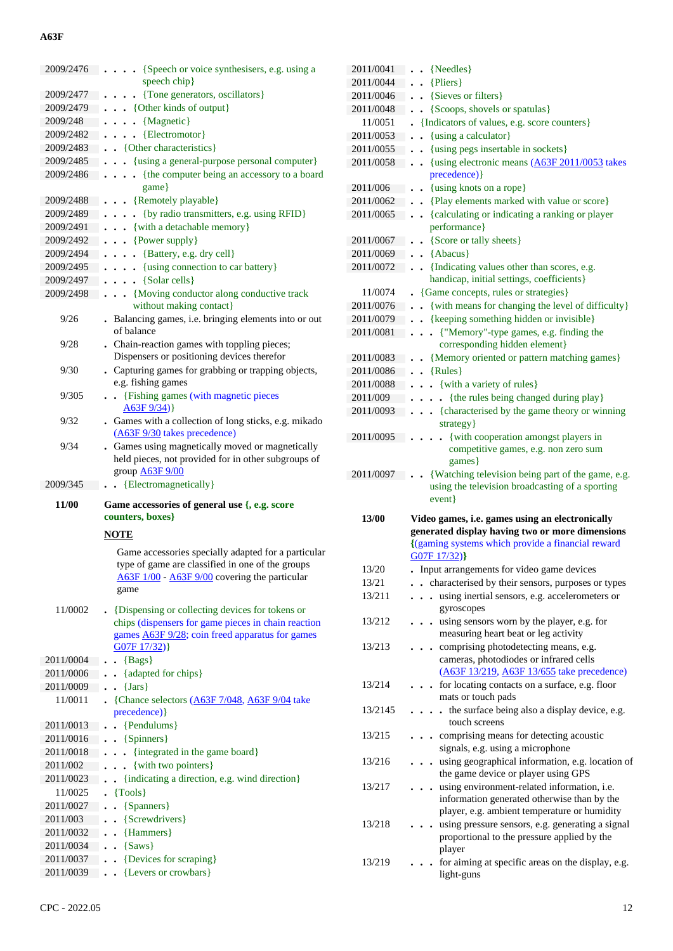| 2009/2476 | {Speech or voice synthesisers, e.g. using a                                                            |
|-----------|--------------------------------------------------------------------------------------------------------|
|           | speech chip}                                                                                           |
| 2009/2477 | {Tone generators, oscillators}<br>$\ddot{\phantom{0}}$                                                 |
| 2009/2479 | . {Other kinds of output}                                                                              |
| 2009/248  | {Magnetic}<br>$\ddot{\phantom{a}}$<br>$\ddot{\phantom{0}}$                                             |
| 2009/2482 | $\cdots$ {Electromotor}                                                                                |
| 2009/2483 | . {Other characteristics}                                                                              |
| 2009/2485 | . {using a general-purpose personal computer}                                                          |
| 2009/2486 | {the computer being an accessory to a board<br>$\cdots$                                                |
|           | game                                                                                                   |
| 2009/2488 | $\ldots$ {Remotely playable}                                                                           |
| 2009/2489 | {by radio transmitters, e.g. using RFID}<br>$\ddot{\phantom{0}}$                                       |
| 2009/2491 | . . {with a detachable memory}                                                                         |
| 2009/2492 | $\cdots$ {Power supply}                                                                                |
| 2009/2494 | $\ldots$ {Battery, e.g. dry cell}                                                                      |
| 2009/2495 | {using connection to car battery}                                                                      |
| 2009/2497 | {Solar cells}<br>$\ddotsc$                                                                             |
| 2009/2498 | {Moving conductor along conductive track<br>$\ddotsc$                                                  |
|           | without making contact}                                                                                |
| 9/26      | . Balancing games, i.e. bringing elements into or out                                                  |
|           | of balance                                                                                             |
| 9/28      | . Chain-reaction games with toppling pieces;                                                           |
|           | Dispensers or positioning devices therefor                                                             |
| 9/30      | . Capturing games for grabbing or trapping objects,                                                    |
|           | e.g. fishing games                                                                                     |
| 9/305     | . . {Fishing games (with magnetic pieces                                                               |
|           | A63F9/34)                                                                                              |
| 9/32      | . Games with a collection of long sticks, e.g. mikado                                                  |
|           | (A63F 9/30 takes precedence)                                                                           |
| 9/34      | . Games using magnetically moved or magnetically                                                       |
|           | held pieces, not provided for in other subgroups of                                                    |
|           |                                                                                                        |
|           | group <b>A63F 9/00</b>                                                                                 |
| 2009/345  | {Electromagnetically}                                                                                  |
| 11/00     |                                                                                                        |
|           | Game accessories of general use {, e.g. score<br>counters, boxes}                                      |
|           |                                                                                                        |
|           | <b>NOTE</b>                                                                                            |
|           | Game accessories specially adapted for a particular                                                    |
|           | type of game are classified in one of the groups                                                       |
|           | A63F 1/00 - A63F 9/00 covering the particular                                                          |
|           | game                                                                                                   |
| 11/0002   |                                                                                                        |
|           | {Dispensing or collecting devices for tokens or<br>chips (dispensers for game pieces in chain reaction |
|           | games <b>A63F 9/28</b> ; coin freed apparatus for games                                                |
|           | G07F 17/32) }                                                                                          |
| 2011/0004 | ${Bags}$                                                                                               |
| 2011/0006 | {adapted for chips}                                                                                    |
| 2011/0009 | $\{Jars\}$                                                                                             |
| 11/0011   | . {Chance selectors $(A63F7/048, A63F9/04)$ take                                                       |
|           | precedence) }                                                                                          |
| 2011/0013 | {Pendulums}                                                                                            |
| 2011/0016 | $\bullet$ {Spinners}                                                                                   |
| 2011/0018 | {integrated in the game board}                                                                         |
| 2011/002  | {with two pointers}<br>$\ddot{\phantom{0}}$                                                            |
| 2011/0023 | {indicating a direction, e.g. wind direction}                                                          |
| 11/0025   | $\{Tools\}$                                                                                            |
| 2011/0027 | {Spanners}<br>$\ddot{\phantom{0}}$                                                                     |
| 2011/003  | {Screwdrivers}                                                                                         |
| 2011/0032 | {Hammers}                                                                                              |
| 2011/0034 | $\, 8$ aws}                                                                                            |
| 2011/0037 | {Devices for scraping}                                                                                 |

| 2011/0041 | $\bullet$ {Needles}                                                                             |
|-----------|-------------------------------------------------------------------------------------------------|
| 2011/0044 | {Pliers}<br>$\sim$                                                                              |
| 2011/0046 | $\cdot$ {Sieves or filters}                                                                     |
| 2011/0048 | • {Scoops, shovels or spatulas}                                                                 |
| 11/0051   | {Indicators of values, e.g. score counters}                                                     |
| 2011/0053 | {using a calculator}<br>$\ddot{\phantom{a}}$                                                    |
| 2011/0055 | {using pegs insertable in sockets}<br>$\ddot{\phantom{a}}$                                      |
| 2011/0058 | {using electronic means (A63F 2011/0053 takes<br>$\ddot{\phantom{a}}$                           |
|           | precedence) }                                                                                   |
| 2011/006  | {using knots on a rope}<br>$\bullet$                                                            |
| 2011/0062 | {Play elements marked with value or score}<br>$\ddot{\phantom{a}}$                              |
| 2011/0065 | {calculating or indicating a ranking or player<br>$\ddot{\phantom{a}}$                          |
|           | performance}                                                                                    |
| 2011/0067 | {Score or tally sheets}                                                                         |
| 2011/0069 | {Abacus}<br>$\ddot{\phantom{a}}$                                                                |
| 2011/0072 | {Indicating values other than scores, e.g.<br>$\mathbf{r}$                                      |
|           | handicap, initial settings, coefficients}                                                       |
| 11/0074   | • {Game concepts, rules or strategies}                                                          |
| 2011/0076 | {with means for changing the level of difficulty}                                               |
| 2011/0079 | • {keeping something hidden or invisible}                                                       |
| 2011/0081 | {"Memory"-type games, e.g. finding the<br>$\ddot{\phantom{0}}$                                  |
|           | corresponding hidden element}                                                                   |
| 2011/0083 | {Memory oriented or pattern matching games}                                                     |
| 2011/0086 | ${Rules}$<br>$\ddot{\phantom{0}}$                                                               |
| 2011/0088 | . . {with a variety of rules}                                                                   |
| 2011/009  | {the rules being changed during play}<br>$\ddot{\phantom{0}}$                                   |
| 2011/0093 | • {characterised by the game theory or winning                                                  |
|           | strategy}                                                                                       |
| 2011/0095 | {with cooperation amongst players in                                                            |
|           | competitive games, e.g. non zero sum                                                            |
|           | games}                                                                                          |
| 2011/0097 | {Watching television being part of the game, e.g.                                               |
|           |                                                                                                 |
|           | using the television broadcasting of a sporting                                                 |
|           | event }                                                                                         |
| 13/00     | Video games, i.e. games using an electronically                                                 |
|           | generated display having two or more dimensions                                                 |
|           | {(gaming systems which provide a financial reward                                               |
|           | G07F 17/32)}                                                                                    |
| 13/20     | Input arrangements for video game devices                                                       |
| 13/21     | . characterised by their sensors, purposes or types                                             |
| 13/211    | using inertial sensors, e.g. accelerometers or<br>$\ddot{\phantom{0}}$                          |
|           | gyroscopes                                                                                      |
| 13/212    | using sensors worn by the player, e.g. for<br>$\bullet$                                         |
|           | measuring heart beat or leg activity                                                            |
| 13/213    | comprising photodetecting means, e.g.                                                           |
|           | cameras, photodiodes or infrared cells                                                          |
|           | (A63F 13/219, A63F 13/655 take precedence)                                                      |
| 13/214    | for locating contacts on a surface, e.g. floor                                                  |
|           | mats or touch pads                                                                              |
| 13/2145   | the surface being also a display device, e.g.<br>$\ddot{\phantom{0}}$<br>. .                    |
|           | touch screens                                                                                   |
| 13/215    | . comprising means for detecting acoustic                                                       |
|           | signals, e.g. using a microphone                                                                |
| 13/216    | using geographical information, e.g. location of                                                |
|           | the game device or player using GPS                                                             |
| 13/217    | using environment-related information, i.e.                                                     |
|           | information generated otherwise than by the                                                     |
| 13/218    | player, e.g. ambient temperature or humidity                                                    |
|           | using pressure sensors, e.g. generating a signal<br>proportional to the pressure applied by the |
|           | player                                                                                          |
| 13/219    | for aiming at specific areas on the display, e.g.                                               |
|           | light-guns                                                                                      |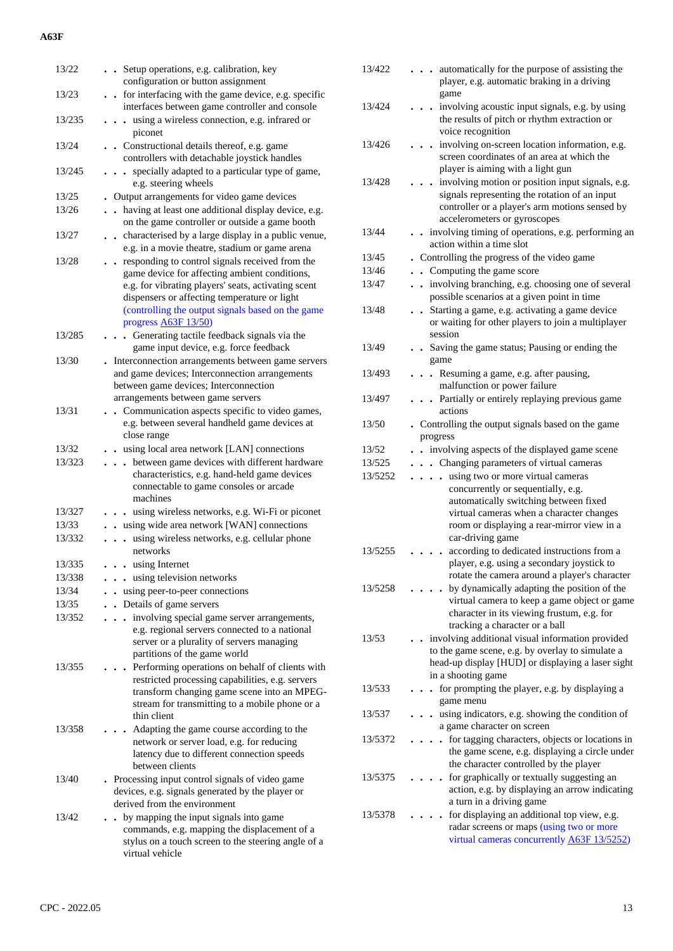| 13/22  | . . Setup operations, e.g. calibration, key<br>configuration or button assignment                                                                                                                                                 |
|--------|-----------------------------------------------------------------------------------------------------------------------------------------------------------------------------------------------------------------------------------|
| 13/23  | for interfacing with the game device, e.g. specific<br>interfaces between game controller and console                                                                                                                             |
| 13/235 | using a wireless connection, e.g. infrared or<br>$\ddot{\phantom{a}}$<br>piconet                                                                                                                                                  |
| 13/24  | . Constructional details thereof, e.g. game<br>controllers with detachable joystick handles                                                                                                                                       |
| 13/245 | specially adapted to a particular type of game,<br>$\ddot{\phantom{0}}$<br>e.g. steering wheels                                                                                                                                   |
| 13/25  | . Output arrangements for video game devices                                                                                                                                                                                      |
| 13/26  | . . having at least one additional display device, e.g.<br>on the game controller or outside a game booth                                                                                                                         |
| 13/27  | . . characterised by a large display in a public venue,<br>e.g. in a movie theatre, stadium or game arena                                                                                                                         |
| 13/28  | responding to control signals received from the                                                                                                                                                                                   |
|        | game device for affecting ambient conditions,<br>e.g. for vibrating players' seats, activating scent<br>dispensers or affecting temperature or light<br>(controlling the output signals based on the game<br>progress A63F 13/50) |
| 13/285 | Generating tactile feedback signals via the<br>$\ddot{\phantom{0}}$<br>game input device, e.g. force feedback                                                                                                                     |
| 13/30  | . Interconnection arrangements between game servers<br>and game devices; Interconnection arrangements<br>between game devices; Interconnection<br>arrangements between game servers                                               |
| 13/31  | • Communication aspects specific to video games,<br>e.g. between several handheld game devices at<br>close range                                                                                                                  |
| 13/32  | . using local area network [LAN] connections                                                                                                                                                                                      |
| 13/323 | between game devices with different hardware<br>$\ddot{\phantom{0}}$<br>characteristics, e.g. hand-held game devices<br>connectable to game consoles or arcade<br>machines                                                        |
| 13/327 | . using wireless networks, e.g. Wi-Fi or piconet                                                                                                                                                                                  |
| 13/33  | . . using wide area network [WAN] connections                                                                                                                                                                                     |
| 13/332 | . . using wireless networks, e.g. cellular phone<br>networks                                                                                                                                                                      |
| 13/335 | using Internet                                                                                                                                                                                                                    |
| 13/338 | . using television networks                                                                                                                                                                                                       |
| 13/34  | using peer-to-peer connections                                                                                                                                                                                                    |
| 13/35  | Details of game servers<br>$\ddot{\phantom{a}}$                                                                                                                                                                                   |
| 13/352 | involving special game server arrangements,<br>e.g. regional servers connected to a national<br>server or a plurality of servers managing<br>partitions of the game world                                                         |
| 13/355 | . Performing operations on behalf of clients with<br>restricted processing capabilities, e.g. servers<br>transform changing game scene into an MPEG-<br>stream for transmitting to a mobile phone or a<br>thin client             |
| 13/358 | Adapting the game course according to the<br>network or server load, e.g. for reducing<br>latency due to different connection speeds<br>between clients                                                                           |
| 13/40  | . Processing input control signals of video game<br>devices, e.g. signals generated by the player or<br>derived from the environment                                                                                              |
| 13/42  | by mapping the input signals into game<br>commands, e.g. mapping the displacement of a<br>stylus on a touch screen to the steering angle of a<br>virtual vehicle                                                                  |

| 13/422<br>$\ddot{\phantom{a}}$<br>game<br>13/424<br>$\ddot{\phantom{a}}$<br>the results of pitch or rhythm extraction or<br>voice recognition<br>13/426<br>$\ddot{\phantom{a}}$<br>player is aiming with a light gun<br>13/428<br>accelerometers or gyroscopes<br>13/44<br>action within a time slot<br>. Controlling the progress of the video game<br>13/45<br>13/46<br>• Computing the game score<br>13/47<br>possible scenarios at a given point in time<br>13/48<br>$\ddot{\phantom{a}}$<br>session<br>13/49<br>game<br>13/493<br>. Resuming a game, e.g. after pausing,<br>malfunction or power failure<br>13/497<br>actions<br>13/50<br>progress<br>13/52<br>involving aspects of the displayed game scene<br>. Changing parameters of virtual cameras<br>13/525<br>. . using two or more virtual cameras<br>13/5252<br>concurrently or sequentially, e.g.<br>car-driving game<br>according to dedicated instructions from a<br>13/5255<br>13/5258<br>tracking a character or a ball<br>. involving additional visual information provided<br>13/53<br>in a shooting game<br>13/533<br>game menu<br>13/537<br>a game character on screen<br>13/5372<br>the character controlled by the player<br>13/5375<br>a turn in a driving game<br>13/5378 |                                                                                                                                                       |
|--------------------------------------------------------------------------------------------------------------------------------------------------------------------------------------------------------------------------------------------------------------------------------------------------------------------------------------------------------------------------------------------------------------------------------------------------------------------------------------------------------------------------------------------------------------------------------------------------------------------------------------------------------------------------------------------------------------------------------------------------------------------------------------------------------------------------------------------------------------------------------------------------------------------------------------------------------------------------------------------------------------------------------------------------------------------------------------------------------------------------------------------------------------------------------------------------------------------------------------------------------|-------------------------------------------------------------------------------------------------------------------------------------------------------|
|                                                                                                                                                                                                                                                                                                                                                                                                                                                                                                                                                                                                                                                                                                                                                                                                                                                                                                                                                                                                                                                                                                                                                                                                                                                        | automatically for the purpose of assisting the<br>player, e.g. automatic braking in a driving                                                         |
|                                                                                                                                                                                                                                                                                                                                                                                                                                                                                                                                                                                                                                                                                                                                                                                                                                                                                                                                                                                                                                                                                                                                                                                                                                                        | involving acoustic input signals, e.g. by using                                                                                                       |
|                                                                                                                                                                                                                                                                                                                                                                                                                                                                                                                                                                                                                                                                                                                                                                                                                                                                                                                                                                                                                                                                                                                                                                                                                                                        |                                                                                                                                                       |
|                                                                                                                                                                                                                                                                                                                                                                                                                                                                                                                                                                                                                                                                                                                                                                                                                                                                                                                                                                                                                                                                                                                                                                                                                                                        | involving on-screen location information, e.g.<br>screen coordinates of an area at which the                                                          |
|                                                                                                                                                                                                                                                                                                                                                                                                                                                                                                                                                                                                                                                                                                                                                                                                                                                                                                                                                                                                                                                                                                                                                                                                                                                        | . involving motion or position input signals, e.g.<br>signals representing the rotation of an input<br>controller or a player's arm motions sensed by |
|                                                                                                                                                                                                                                                                                                                                                                                                                                                                                                                                                                                                                                                                                                                                                                                                                                                                                                                                                                                                                                                                                                                                                                                                                                                        | . involving timing of operations, e.g. performing an                                                                                                  |
|                                                                                                                                                                                                                                                                                                                                                                                                                                                                                                                                                                                                                                                                                                                                                                                                                                                                                                                                                                                                                                                                                                                                                                                                                                                        |                                                                                                                                                       |
|                                                                                                                                                                                                                                                                                                                                                                                                                                                                                                                                                                                                                                                                                                                                                                                                                                                                                                                                                                                                                                                                                                                                                                                                                                                        |                                                                                                                                                       |
|                                                                                                                                                                                                                                                                                                                                                                                                                                                                                                                                                                                                                                                                                                                                                                                                                                                                                                                                                                                                                                                                                                                                                                                                                                                        | involving branching, e.g. choosing one of several                                                                                                     |
|                                                                                                                                                                                                                                                                                                                                                                                                                                                                                                                                                                                                                                                                                                                                                                                                                                                                                                                                                                                                                                                                                                                                                                                                                                                        |                                                                                                                                                       |
|                                                                                                                                                                                                                                                                                                                                                                                                                                                                                                                                                                                                                                                                                                                                                                                                                                                                                                                                                                                                                                                                                                                                                                                                                                                        | Starting a game, e.g. activating a game device<br>or waiting for other players to join a multiplayer                                                  |
|                                                                                                                                                                                                                                                                                                                                                                                                                                                                                                                                                                                                                                                                                                                                                                                                                                                                                                                                                                                                                                                                                                                                                                                                                                                        | . Saving the game status; Pausing or ending the                                                                                                       |
|                                                                                                                                                                                                                                                                                                                                                                                                                                                                                                                                                                                                                                                                                                                                                                                                                                                                                                                                                                                                                                                                                                                                                                                                                                                        |                                                                                                                                                       |
|                                                                                                                                                                                                                                                                                                                                                                                                                                                                                                                                                                                                                                                                                                                                                                                                                                                                                                                                                                                                                                                                                                                                                                                                                                                        |                                                                                                                                                       |
|                                                                                                                                                                                                                                                                                                                                                                                                                                                                                                                                                                                                                                                                                                                                                                                                                                                                                                                                                                                                                                                                                                                                                                                                                                                        | . Partially or entirely replaying previous game                                                                                                       |
|                                                                                                                                                                                                                                                                                                                                                                                                                                                                                                                                                                                                                                                                                                                                                                                                                                                                                                                                                                                                                                                                                                                                                                                                                                                        | . Controlling the output signals based on the game                                                                                                    |
|                                                                                                                                                                                                                                                                                                                                                                                                                                                                                                                                                                                                                                                                                                                                                                                                                                                                                                                                                                                                                                                                                                                                                                                                                                                        |                                                                                                                                                       |
|                                                                                                                                                                                                                                                                                                                                                                                                                                                                                                                                                                                                                                                                                                                                                                                                                                                                                                                                                                                                                                                                                                                                                                                                                                                        |                                                                                                                                                       |
|                                                                                                                                                                                                                                                                                                                                                                                                                                                                                                                                                                                                                                                                                                                                                                                                                                                                                                                                                                                                                                                                                                                                                                                                                                                        |                                                                                                                                                       |
|                                                                                                                                                                                                                                                                                                                                                                                                                                                                                                                                                                                                                                                                                                                                                                                                                                                                                                                                                                                                                                                                                                                                                                                                                                                        | automatically switching between fixed<br>virtual cameras when a character changes<br>room or displaying a rear-mirror view in a                       |
|                                                                                                                                                                                                                                                                                                                                                                                                                                                                                                                                                                                                                                                                                                                                                                                                                                                                                                                                                                                                                                                                                                                                                                                                                                                        | player, e.g. using a secondary joystick to<br>rotate the camera around a player's character                                                           |
|                                                                                                                                                                                                                                                                                                                                                                                                                                                                                                                                                                                                                                                                                                                                                                                                                                                                                                                                                                                                                                                                                                                                                                                                                                                        | by dynamically adapting the position of the                                                                                                           |
|                                                                                                                                                                                                                                                                                                                                                                                                                                                                                                                                                                                                                                                                                                                                                                                                                                                                                                                                                                                                                                                                                                                                                                                                                                                        | virtual camera to keep a game object or game<br>character in its viewing frustum, e.g. for                                                            |
|                                                                                                                                                                                                                                                                                                                                                                                                                                                                                                                                                                                                                                                                                                                                                                                                                                                                                                                                                                                                                                                                                                                                                                                                                                                        |                                                                                                                                                       |
|                                                                                                                                                                                                                                                                                                                                                                                                                                                                                                                                                                                                                                                                                                                                                                                                                                                                                                                                                                                                                                                                                                                                                                                                                                                        | to the game scene, e.g. by overlay to simulate a<br>head-up display [HUD] or displaying a laser sight                                                 |
|                                                                                                                                                                                                                                                                                                                                                                                                                                                                                                                                                                                                                                                                                                                                                                                                                                                                                                                                                                                                                                                                                                                                                                                                                                                        | for prompting the player, e.g. by displaying a                                                                                                        |
|                                                                                                                                                                                                                                                                                                                                                                                                                                                                                                                                                                                                                                                                                                                                                                                                                                                                                                                                                                                                                                                                                                                                                                                                                                                        | using indicators, e.g. showing the condition of                                                                                                       |
|                                                                                                                                                                                                                                                                                                                                                                                                                                                                                                                                                                                                                                                                                                                                                                                                                                                                                                                                                                                                                                                                                                                                                                                                                                                        |                                                                                                                                                       |
|                                                                                                                                                                                                                                                                                                                                                                                                                                                                                                                                                                                                                                                                                                                                                                                                                                                                                                                                                                                                                                                                                                                                                                                                                                                        | for tagging characters, objects or locations in<br>the game scene, e.g. displaying a circle under                                                     |
|                                                                                                                                                                                                                                                                                                                                                                                                                                                                                                                                                                                                                                                                                                                                                                                                                                                                                                                                                                                                                                                                                                                                                                                                                                                        | for graphically or textually suggesting an<br>action, e.g. by displaying an arrow indicating                                                          |
|                                                                                                                                                                                                                                                                                                                                                                                                                                                                                                                                                                                                                                                                                                                                                                                                                                                                                                                                                                                                                                                                                                                                                                                                                                                        | for displaying an additional top view, e.g.<br>radar screens or maps (using two or more<br>virtual cameras concurrently A63F 13/5252)                 |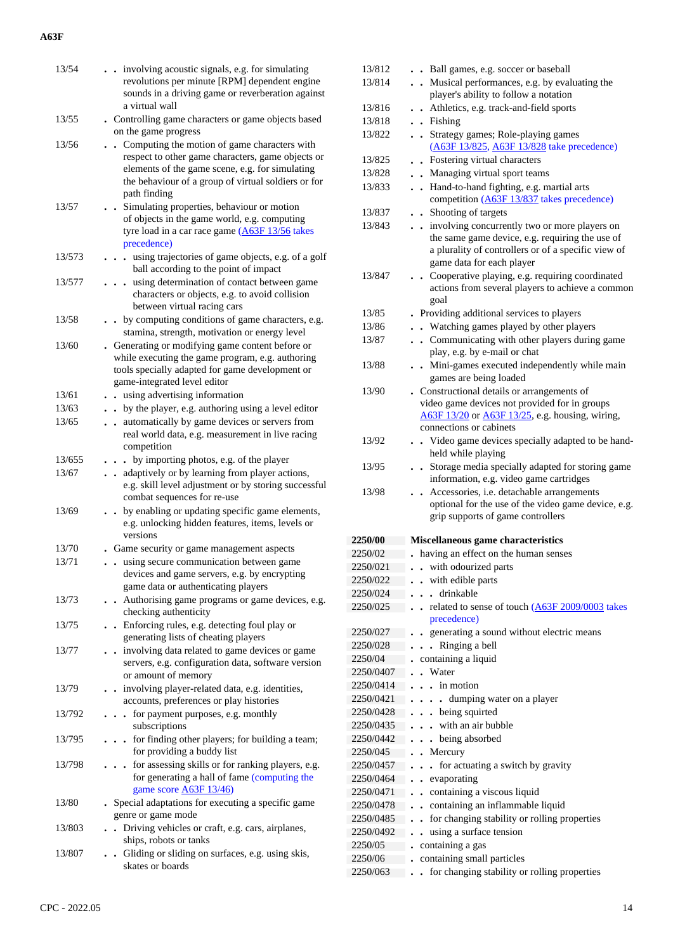| 13/54  | . . involving acoustic signals, e.g. for simulating<br>revolutions per minute [RPM] dependent engine<br>sounds in a driving game or reverberation against<br>a virtual wall                                                   |
|--------|-------------------------------------------------------------------------------------------------------------------------------------------------------------------------------------------------------------------------------|
| 13/55  | . Controlling game characters or game objects based<br>on the game progress                                                                                                                                                   |
| 13/56  | . Computing the motion of game characters with<br>respect to other game characters, game objects or<br>elements of the game scene, e.g. for simulating<br>the behaviour of a group of virtual soldiers or for<br>path finding |
| 13/57  | Simulating properties, behaviour or motion<br>of objects in the game world, e.g. computing<br>tyre load in a car race game (A63F 13/56 takes<br>precedence)                                                                   |
| 13/573 | using trajectories of game objects, e.g. of a golf<br>$\ddot{\phantom{1}}$<br>ball according to the point of impact                                                                                                           |
| 13/577 | using determination of contact between game<br>$\ddot{\phantom{0}}$<br>characters or objects, e.g. to avoid collision<br>between virtual racing cars                                                                          |
| 13/58  | by computing conditions of game characters, e.g.<br>stamina, strength, motivation or energy level                                                                                                                             |
| 13/60  | . Generating or modifying game content before or<br>while executing the game program, e.g. authoring<br>tools specially adapted for game development or<br>game-integrated level editor                                       |
| 13/61  | using advertising information                                                                                                                                                                                                 |
| 13/63  | • by the player, e.g. authoring using a level editor                                                                                                                                                                          |
| 13/65  | automatically by game devices or servers from<br>real world data, e.g. measurement in live racing<br>competition                                                                                                              |
| 13/655 | . . by importing photos, e.g. of the player                                                                                                                                                                                   |
| 13/67  | . . adaptively or by learning from player actions,<br>e.g. skill level adjustment or by storing successful<br>combat sequences for re-use                                                                                     |
| 13/69  | by enabling or updating specific game elements,<br>e.g. unlocking hidden features, items, levels or<br>versions                                                                                                               |
| 13/70  | . Game security or game management aspects                                                                                                                                                                                    |
| 13/71  | using secure communication between game<br>devices and game servers, e.g. by encrypting<br>game data or authenticating players                                                                                                |
| 13/73  | Authorising game programs or game devices, e.g.<br>checking authenticity                                                                                                                                                      |
| 13/75  | . Enforcing rules, e.g. detecting foul play or<br>generating lists of cheating players                                                                                                                                        |
| 13/77  | . involving data related to game devices or game<br>servers, e.g. configuration data, software version<br>or amount of memory                                                                                                 |
| 13/79  | . involving player-related data, e.g. identities,<br>accounts, preferences or play histories                                                                                                                                  |
| 13/792 | for payment purposes, e.g. monthly<br>$\ddot{\phantom{a}}$<br>subscriptions                                                                                                                                                   |
| 13/795 | - for finding other players; for building a team;<br>for providing a buddy list                                                                                                                                               |
| 13/798 | . . for assessing skills or for ranking players, e.g.<br>for generating a hall of fame (computing the<br>game score <b>A63F 13/46</b> )                                                                                       |
| 13/80  | . Special adaptations for executing a specific game<br>genre or game mode                                                                                                                                                     |
| 13/803 | . Driving vehicles or craft, e.g. cars, airplanes,<br>ships, robots or tanks                                                                                                                                                  |
| 13/807 | . Gliding or sliding on surfaces, e.g. using skis,<br>skates or boards                                                                                                                                                        |

| 13/812             | . Ball games, e.g. soccer or baseball                                                           |
|--------------------|-------------------------------------------------------------------------------------------------|
| 13/814             | • Musical performances, e.g. by evaluating the                                                  |
|                    | player's ability to follow a notation                                                           |
| 13/816             | Athletics, e.g. track-and-field sports                                                          |
| 13/818             | . Fishing                                                                                       |
| 13/822             | • Strategy games; Role-playing games                                                            |
|                    | (A63F 13/825, A63F 13/828 take precedence)                                                      |
| 13/825             | • Fostering virtual characters                                                                  |
| 13/828             | • Managing virtual sport teams                                                                  |
| 13/833             | . Hand-to-hand fighting, e.g. martial arts                                                      |
|                    | competition (A63F 13/837 takes precedence)                                                      |
| 13/837             | • Shooting of targets                                                                           |
| 13/843             | . involving concurrently two or more players on                                                 |
|                    | the same game device, e.g. requiring the use of                                                 |
|                    | a plurality of controllers or of a specific view of                                             |
|                    | game data for each player                                                                       |
| 13/847             | Cooperative playing, e.g. requiring coordinated<br>$\ddot{\phantom{a}}$                         |
|                    | actions from several players to achieve a common                                                |
|                    | goal                                                                                            |
| 13/85              | Providing additional services to players                                                        |
| 13/86              | . Watching games played by other players                                                        |
| 13/87              | • Communicating with other players during game                                                  |
|                    | play, e.g. by e-mail or chat                                                                    |
| 13/88              | . Mini-games executed independently while main                                                  |
|                    | games are being loaded                                                                          |
| 13/90              | . Constructional details or arrangements of                                                     |
|                    | video game devices not provided for in groups                                                   |
|                    | A63F 13/20 or A63F 13/25, e.g. housing, wiring,<br>connections or cabinets                      |
| 13/92              |                                                                                                 |
|                    | . Video game devices specially adapted to be hand-<br>held while playing                        |
| 13/95              | . Storage media specially adapted for storing game                                              |
|                    | information, e.g. video game cartridges                                                         |
| 13/98              | Accessories, i.e. detachable arrangements<br>$\ddot{\phantom{0}}$                               |
|                    | optional for the use of the video game device, e.g.                                             |
|                    | grip supports of game controllers                                                               |
|                    |                                                                                                 |
| 2250/00            | Miscellaneous game characteristics                                                              |
| 2250/02            | having an effect on the human senses                                                            |
| 2250/021           | . . with odourized parts                                                                        |
| 2250/022           | with edible parts                                                                               |
| 2250/024           | drinkable                                                                                       |
| 2250/025           | related to sense of touch (A63F 2009/0003 takes                                                 |
|                    | precedence)                                                                                     |
| 2250/027           | generating a sound without electric means                                                       |
| 2250/028           | Ringing a bell                                                                                  |
| 2250/04            | containing a liquid                                                                             |
| 2250/0407          |                                                                                                 |
| 2250/0414          | Water                                                                                           |
| 2250/0421          | in motion                                                                                       |
|                    | dumping water on a player<br>$\ddot{\phantom{a}}$                                               |
| 2250/0428          | being squirted<br>$\ddot{\phantom{0}}$                                                          |
| 2250/0435          | with an air bubble                                                                              |
| 2250/0442          | being absorbed                                                                                  |
| 2250/045           | . Mercury                                                                                       |
| 2250/0457          | for actuating a switch by gravity<br>$\ddot{\phantom{0}}$                                       |
| 2250/0464          | evaporating<br>$\ddot{\phantom{a}}$                                                             |
| 2250/0471          | containing a viscous liquid<br>$\ddot{\phantom{a}}$                                             |
| 2250/0478          | containing an inflammable liquid<br>$\ddot{\phantom{a}}$                                        |
| 2250/0485          | $\ddot{\phantom{a}}$                                                                            |
| 2250/0492          | for changing stability or rolling properties<br>using a surface tension<br>$\ddot{\phantom{a}}$ |
|                    |                                                                                                 |
| 2250/05<br>2250/06 | containing a gas                                                                                |
| 2250/063           | containing small particles<br>for changing stability or rolling properties                      |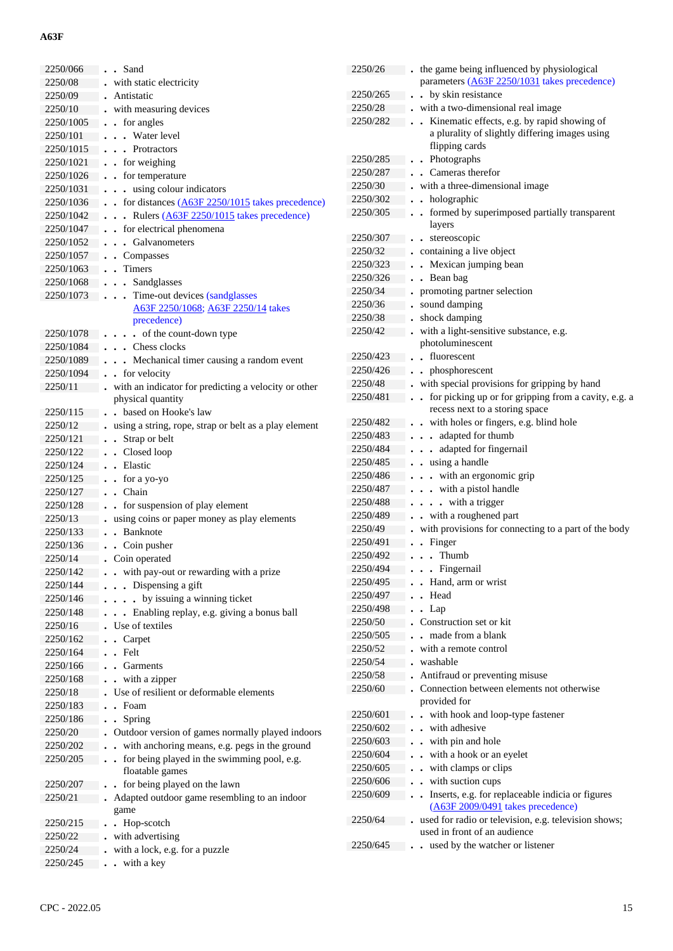| 2250/066  | . . Sand                                                   | 2250/26  | . the game being influenced by physiological           |
|-----------|------------------------------------------------------------|----------|--------------------------------------------------------|
|           |                                                            |          | parameters (A63F 2250/1031 takes precedence)           |
| 2250/08   | with static electricity                                    |          |                                                        |
| 2250/09   | Antistatic                                                 | 2250/265 | . . by skin resistance                                 |
| 2250/10   | with measuring devices                                     | 2250/28  | . with a two-dimensional real image                    |
| 2250/1005 | $\bullet$ for angles                                       | 2250/282 | . . Kinematic effects, e.g. by rapid showing of        |
| 2250/101  | . Water level                                              |          | a plurality of slightly differing images using         |
| 2250/1015 | . Protractors                                              |          | flipping cards                                         |
| 2250/1021 | . . for weighing                                           | 2250/285 | . . Photographs                                        |
| 2250/1026 | . . for temperature                                        | 2250/287 | . Cameras therefor                                     |
| 2250/1031 | using colour indicators                                    | 2250/30  | . with a three-dimensional image                       |
| 2250/1036 | $\cdot$ for distances $(A63F 2250/1015)$ takes precedence) | 2250/302 | . holographic                                          |
| 2250/1042 | . Rulers (A63F 2250/1015 takes precedence)                 | 2250/305 | formed by superimposed partially transparent           |
| 2250/1047 | . for electrical phenomena                                 |          | layers                                                 |
| 2250/1052 | . Galvanometers                                            | 2250/307 | . . stereoscopic                                       |
|           |                                                            | 2250/32  | . containing a live object                             |
| 2250/1057 | . . Compasses                                              | 2250/323 | . Mexican jumping bean                                 |
| 2250/1063 | . . Timers                                                 | 2250/326 | . . Bean bag                                           |
| 2250/1068 | . Sandglasses                                              | 2250/34  | • promoting partner selection                          |
| 2250/1073 | Time-out devices (sandglasses<br>$\cdots$                  | 2250/36  | . sound damping                                        |
|           | A63F 2250/1068; A63F 2250/14 takes                         |          |                                                        |
|           | precedence)                                                | 2250/38  | . shock damping                                        |
| 2250/1078 | $\ldots$ of the count-down type                            | 2250/42  | . with a light-sensitive substance, e.g.               |
| 2250/1084 | . Chess clocks                                             |          | photoluminescent                                       |
| 2250/1089 | . Mechanical timer causing a random event                  | 2250/423 | . . fluorescent                                        |
| 2250/1094 | . for velocity                                             | 2250/426 | . . phosphorescent                                     |
| 2250/11   | with an indicator for predicting a velocity or other       | 2250/48  | . with special provisions for gripping by hand         |
|           | physical quantity                                          | 2250/481 | for picking up or for gripping from a cavity, e.g. a   |
| 2250/115  | . . based on Hooke's law                                   |          | recess next to a storing space                         |
| 2250/12   | . using a string, rope, strap or belt as a play element    | 2250/482 | . . with holes or fingers, e.g. blind hole             |
| 2250/121  | • Strap or belt                                            | 2250/483 | . adapted for thumb                                    |
| 2250/122  | Closed loop                                                | 2250/484 | . adapted for fingernail                               |
|           | . Elastic                                                  | 2250/485 | . . using a handle                                     |
| 2250/124  |                                                            | 2250/486 | . with an ergonomic grip                               |
| 2250/125  | . . for a yo-yo                                            | 2250/487 | . with a pistol handle                                 |
| 2250/127  | . . Chain                                                  |          |                                                        |
| 2250/128  | . . for suspension of play element                         | 2250/488 | $\cdots$ with a trigger                                |
| 2250/13   | . using coins or paper money as play elements              | 2250/489 | . . with a roughened part                              |
| 2250/133  | . . Banknote                                               | 2250/49  | . with provisions for connecting to a part of the body |
| 2250/136  | • Coin pusher                                              | 2250/491 | . . Finger                                             |
| 2250/14   | . Coin operated                                            | 2250/492 | $\ldots$ Thumb                                         |
| 2250/142  | . . with pay-out or rewarding with a prize                 | 2250/494 | . Fingernail                                           |
| 2250/144  | $\cdots$ Dispensing a gift                                 | 2250/495 | . Hand, arm or wrist                                   |
| 2250/146  | . by issuing a winning ticket                              | 2250/497 | Head                                                   |
| 2250/148  | . Enabling replay, e.g. giving a bonus ball                | 2250/498 | $\bullet$ $\bullet$ Lap                                |
| 2250/16   | . Use of textiles                                          | 2250/50  | . Construction set or kit                              |
| 2250/162  | . . Carpet                                                 | 2250/505 | made from a blank                                      |
|           | . . Felt                                                   | 2250/52  | - with a remote control                                |
| 2250/164  |                                                            | 2250/54  | washable                                               |
| 2250/166  | . Garments                                                 | 2250/58  | • Antifraud or preventing misuse                       |
| 2250/168  | . . with a zipper                                          | 2250/60  | • Connection between elements not otherwise            |
| 2250/18   | . Use of resilient or deformable elements                  |          | provided for                                           |
| 2250/183  | $\blacksquare$ . Foam                                      |          |                                                        |
| 2250/186  | . . Spring                                                 | 2250/601 | . . with hook and loop-type fastener                   |
| 2250/20   | . Outdoor version of games normally played indoors         | 2250/602 | . . with adhesive                                      |
| 2250/202  | with anchoring means, e.g. pegs in the ground              | 2250/603 | . . with pin and hole                                  |
| 2250/205  | for being played in the swimming pool, e.g.                | 2250/604 | . . with a hook or an eyelet                           |
|           | floatable games                                            | 2250/605 | . . with clamps or clips                               |
| 2250/207  | . . for being played on the lawn                           | 2250/606 | . . with suction cups                                  |
| 2250/21   | Adapted outdoor game resembling to an indoor               | 2250/609 | . . Inserts, e.g. for replaceable indicia or figures   |
|           | game                                                       |          | (A63F 2009/0491 takes precedence)                      |
| 2250/215  | • Hop-scotch                                               | 2250/64  | used for radio or television, e.g. television shows;   |
| 2250/22   | with advertising                                           |          | used in front of an audience                           |
|           |                                                            | 2250/645 | . . used by the watcher or listener                    |
| 2250/24   | with a lock, e.g. for a puzzle                             |          |                                                        |
| 2250/245  | . . with a key                                             |          |                                                        |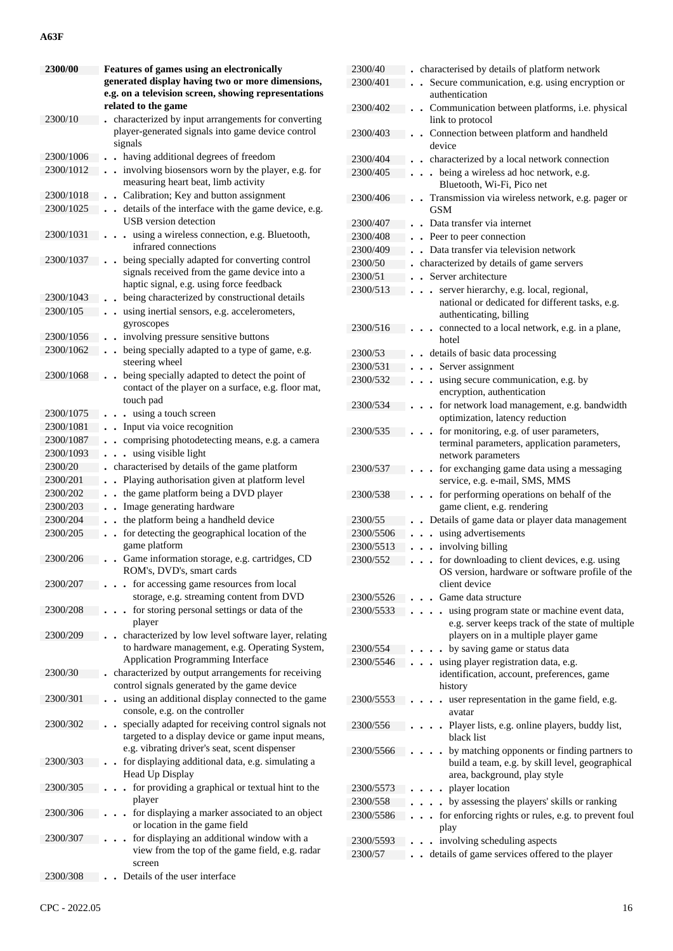| 2300/00   | <b>Features of games using an electronically</b>                                                                                                          |
|-----------|-----------------------------------------------------------------------------------------------------------------------------------------------------------|
|           | generated display having two or more dimensions,                                                                                                          |
|           | e.g. on a television screen, showing representations<br>related to the game                                                                               |
| 2300/10   | characterized by input arrangements for converting                                                                                                        |
|           | player-generated signals into game device control<br>signals                                                                                              |
| 2300/1006 | having additional degrees of freedom<br>$\ddot{\phantom{0}}$                                                                                              |
| 2300/1012 | involving biosensors worn by the player, e.g. for<br>$\ddot{\phantom{0}}$                                                                                 |
| 2300/1018 | measuring heart beat, limb activity                                                                                                                       |
|           | Calibration; Key and button assignment<br>$\ddot{\phantom{0}}$                                                                                            |
| 2300/1025 | details of the interface with the game device, e.g.<br>$\bullet$<br><b>USB</b> version detection                                                          |
| 2300/1031 | . using a wireless connection, e.g. Bluetooth,<br>infrared connections                                                                                    |
| 2300/1037 | being specially adapted for converting control<br>signals received from the game device into a<br>haptic signal, e.g. using force feedback                |
| 2300/1043 | being characterized by constructional details                                                                                                             |
| 2300/105  | using inertial sensors, e.g. accelerometers,<br>$\bullet$<br>gyroscopes                                                                                   |
| 2300/1056 | involving pressure sensitive buttons                                                                                                                      |
| 2300/1062 | being specially adapted to a type of game, e.g.<br>steering wheel                                                                                         |
| 2300/1068 | being specially adapted to detect the point of                                                                                                            |
|           | contact of the player on a surface, e.g. floor mat,<br>touch pad                                                                                          |
| 2300/1075 | using a touch screen<br>$\ddot{\phantom{a}}$                                                                                                              |
| 2300/1081 | Input via voice recognition<br>$\bullet$                                                                                                                  |
| 2300/1087 | comprising photodetecting means, e.g. a camera<br>$\ddot{\phantom{0}}$                                                                                    |
| 2300/1093 | using visible light<br>$\ddot{\phantom{0}}$                                                                                                               |
|           | $\ddot{\phantom{0}}$                                                                                                                                      |
| 2300/20   | characterised by details of the game platform                                                                                                             |
| 2300/201  | Playing authorisation given at platform level                                                                                                             |
| 2300/202  | the game platform being a DVD player<br>$\ddot{\phantom{0}}$                                                                                              |
| 2300/203  | Image generating hardware<br>$\ddot{\phantom{0}}$                                                                                                         |
| 2300/204  | the platform being a handheld device                                                                                                                      |
| 2300/205  | for detecting the geographical location of the<br>game platform                                                                                           |
| 2300/206  | Game information storage, e.g. cartridges, CD<br>ROM's, DVD's, smart cards                                                                                |
| 2300/207  | for accessing game resources from local<br>storage, e.g. streaming content from DVD                                                                       |
| 2300/208  | for storing personal settings or data of the                                                                                                              |
|           | player<br>characterized by low level software layer, relating                                                                                             |
| 2300/209  | to hardware management, e.g. Operating System,<br>Application Programming Interface                                                                       |
| 2300/30   | characterized by output arrangements for receiving                                                                                                        |
|           | control signals generated by the game device                                                                                                              |
| 2300/301  | using an additional display connected to the game<br>console, e.g. on the controller                                                                      |
| 2300/302  | specially adapted for receiving control signals not<br>targeted to a display device or game input means,<br>e.g. vibrating driver's seat, scent dispenser |
| 2300/303  | for displaying additional data, e.g. simulating a<br>Head Up Display                                                                                      |
| 2300/305  | for providing a graphical or textual hint to the<br>player                                                                                                |
| 2300/306  | for displaying a marker associated to an object                                                                                                           |
|           | or location in the game field                                                                                                                             |
| 2300/307  | for displaying an additional window with a<br>view from the top of the game field, e.g. radar                                                             |
|           | screen                                                                                                                                                    |
| 2300/308  | Details of the user interface                                                                                                                             |

| 2300/40   | characterised by details of platform network                           |
|-----------|------------------------------------------------------------------------|
| 2300/401  | Secure communication, e.g. using encryption or                         |
|           | authentication                                                         |
| 2300/402  | Communication between platforms, i.e. physical<br>$\ddot{\phantom{a}}$ |
|           | link to protocol                                                       |
| 2300/403  | Connection between platform and handheld                               |
|           | device                                                                 |
| 2300/404  | characterized by a local network connection                            |
| 2300/405  | . being a wireless ad hoc network, e.g.                                |
|           | Bluetooth, Wi-Fi, Pico net                                             |
| 2300/406  | Transmission via wireless network, e.g. pager or                       |
|           | GSM                                                                    |
| 2300/407  | Data transfer via internet                                             |
| 2300/408  | Peer to peer connection<br>$\ddot{\phantom{0}}$                        |
| 2300/409  | Data transfer via television network<br>$\cdot$                        |
|           |                                                                        |
| 2300/50   | characterized by details of game servers                               |
| 2300/51   | Server architecture                                                    |
| 2300/513  | server hierarchy, e.g. local, regional,                                |
|           | national or dedicated for different tasks, e.g.                        |
|           | authenticating, billing                                                |
| 2300/516  | connected to a local network, e.g. in a plane,                         |
|           | hotel                                                                  |
| 2300/53   | details of basic data processing                                       |
| 2300/531  | Server assignment<br>$\ddot{\phantom{a}}$                              |
| 2300/532  | using secure communication, e.g. by                                    |
|           | encryption, authentication                                             |
| 2300/534  | for network load management, e.g. bandwidth<br>$\ddot{\phantom{0}}$    |
|           | optimization, latency reduction                                        |
| 2300/535  | for monitoring, e.g. of user parameters,                               |
|           | terminal parameters, application parameters,                           |
|           | network parameters                                                     |
| 2300/537  | for exchanging game data using a messaging                             |
|           | service, e.g. e-mail, SMS, MMS                                         |
| 2300/538  | for performing operations on behalf of the<br>$\ddot{\phantom{0}}$     |
|           | game client, e.g. rendering                                            |
| 2300/55   | Details of game data or player data management                         |
| 2300/5506 | using advertisements                                                   |
| 2300/5513 | involving billing                                                      |
| 2300/552  | for downloading to client devices, e.g. using                          |
|           | OS version, hardware or software profile of the                        |
|           | client device                                                          |
| 2300/5526 | Game data structure                                                    |
| 2300/5533 | using program state or machine event data,                             |
|           | e.g. server keeps track of the state of multiple                       |
|           | players on in a multiple player game                                   |
| 2300/554  | by saving game or status data                                          |
| 2300/5546 | using player registration data, e.g.                                   |
|           | identification, account, preferences, game                             |
|           | history                                                                |
| 2300/5553 | user representation in the game field, e.g.                            |
|           | avatar                                                                 |
| 2300/556  | Player lists, e.g. online players, buddy list,                         |
|           | black list                                                             |
| 2300/5566 | by matching opponents or finding partners to                           |
|           | build a team, e.g. by skill level, geographical                        |
|           | area, background, play style                                           |
| 2300/5573 | player location                                                        |
| 2300/558  | by assessing the players' skills or ranking                            |
| 2300/5586 | for enforcing rights or rules, e.g. to prevent foul                    |
|           | play                                                                   |
| 2300/5593 | involving scheduling aspects                                           |
| 2300/57   | details of game services offered to the player                         |
|           |                                                                        |